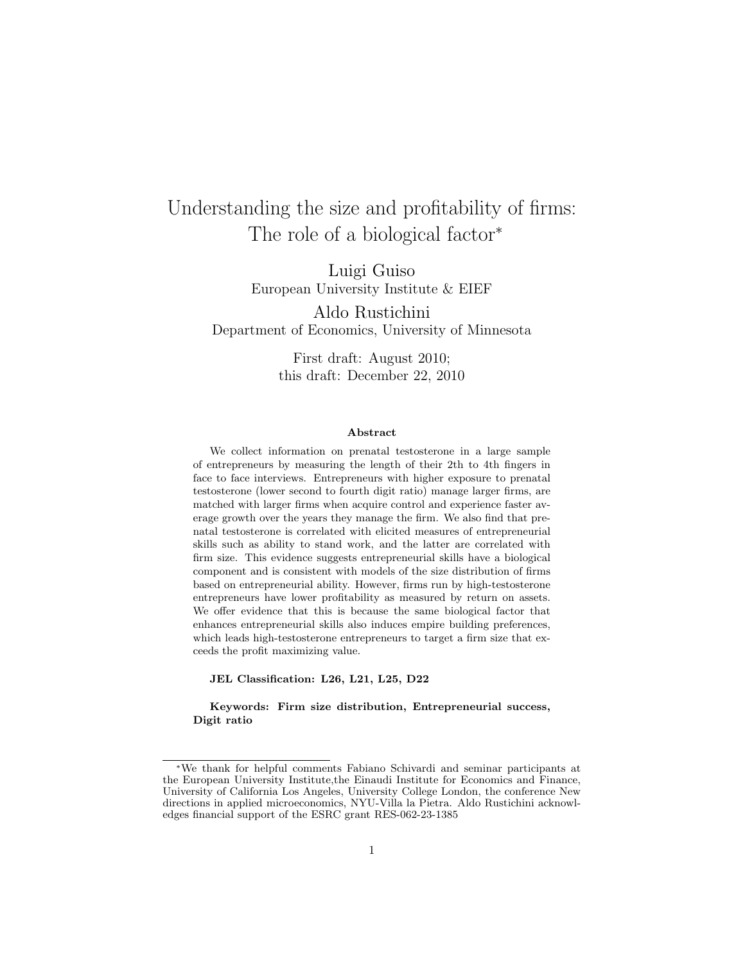# Understanding the size and profitability of firms: The role of a biological factor<sup>\*</sup>

Luigi Guiso European University Institute & EIEF Aldo Rustichini Department of Economics, University of Minnesota

> First draft: August 2010; this draft: December 22, 2010

#### Abstract

We collect information on prenatal testosterone in a large sample of entrepreneurs by measuring the length of their 2th to 4th fingers in face to face interviews. Entrepreneurs with higher exposure to prenatal testosterone (lower second to fourth digit ratio) manage larger firms, are matched with larger firms when acquire control and experience faster average growth over the years they manage the firm. We also find that prenatal testosterone is correlated with elicited measures of entrepreneurial skills such as ability to stand work, and the latter are correlated with firm size. This evidence suggests entrepreneurial skills have a biological component and is consistent with models of the size distribution of firms based on entrepreneurial ability. However, firms run by high-testosterone entrepreneurs have lower profitability as measured by return on assets. We offer evidence that this is because the same biological factor that enhances entrepreneurial skills also induces empire building preferences, which leads high-testosterone entrepreneurs to target a firm size that exceeds the profit maximizing value.

#### JEL Classification: L26, L21, L25, D22

Keywords: Firm size distribution, Entrepreneurial success, Digit ratio

<sup>∗</sup>We thank for helpful comments Fabiano Schivardi and seminar participants at the European University Institute,the Einaudi Institute for Economics and Finance, University of California Los Angeles, University College London, the conference New directions in applied microeconomics, NYU-Villa la Pietra. Aldo Rustichini acknowledges financial support of the ESRC grant RES-062-23-1385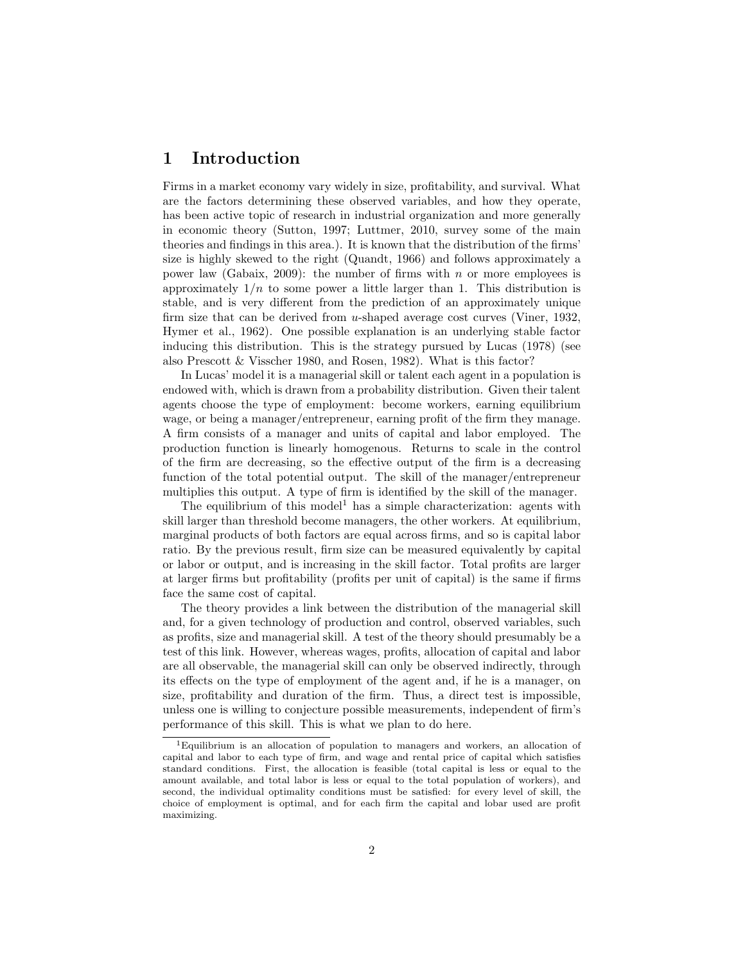### 1 Introduction

Firms in a market economy vary widely in size, profitability, and survival. What are the factors determining these observed variables, and how they operate, has been active topic of research in industrial organization and more generally in economic theory (Sutton, 1997; Luttmer, 2010, survey some of the main theories and findings in this area.). It is known that the distribution of the firms' size is highly skewed to the right (Quandt, 1966) and follows approximately a power law (Gabaix, 2009): the number of firms with  $n$  or more employees is approximately  $1/n$  to some power a little larger than 1. This distribution is stable, and is very different from the prediction of an approximately unique firm size that can be derived from u-shaped average cost curves (Viner, 1932, Hymer et al., 1962). One possible explanation is an underlying stable factor inducing this distribution. This is the strategy pursued by Lucas (1978) (see also Prescott & Visscher 1980, and Rosen, 1982). What is this factor?

In Lucas' model it is a managerial skill or talent each agent in a population is endowed with, which is drawn from a probability distribution. Given their talent agents choose the type of employment: become workers, earning equilibrium wage, or being a manager/entrepreneur, earning profit of the firm they manage. A firm consists of a manager and units of capital and labor employed. The production function is linearly homogenous. Returns to scale in the control of the firm are decreasing, so the effective output of the firm is a decreasing function of the total potential output. The skill of the manager/entrepreneur multiplies this output. A type of firm is identified by the skill of the manager.

The equilibrium of this model<sup>1</sup> has a simple characterization: agents with skill larger than threshold become managers, the other workers. At equilibrium, marginal products of both factors are equal across firms, and so is capital labor ratio. By the previous result, firm size can be measured equivalently by capital or labor or output, and is increasing in the skill factor. Total profits are larger at larger firms but profitability (profits per unit of capital) is the same if firms face the same cost of capital.

The theory provides a link between the distribution of the managerial skill and, for a given technology of production and control, observed variables, such as profits, size and managerial skill. A test of the theory should presumably be a test of this link. However, whereas wages, profits, allocation of capital and labor are all observable, the managerial skill can only be observed indirectly, through its effects on the type of employment of the agent and, if he is a manager, on size, profitability and duration of the firm. Thus, a direct test is impossible, unless one is willing to conjecture possible measurements, independent of firm's performance of this skill. This is what we plan to do here.

<sup>1</sup>Equilibrium is an allocation of population to managers and workers, an allocation of capital and labor to each type of firm, and wage and rental price of capital which satisfies standard conditions. First, the allocation is feasible (total capital is less or equal to the amount available, and total labor is less or equal to the total population of workers), and second, the individual optimality conditions must be satisfied: for every level of skill, the choice of employment is optimal, and for each firm the capital and lobar used are profit maximizing.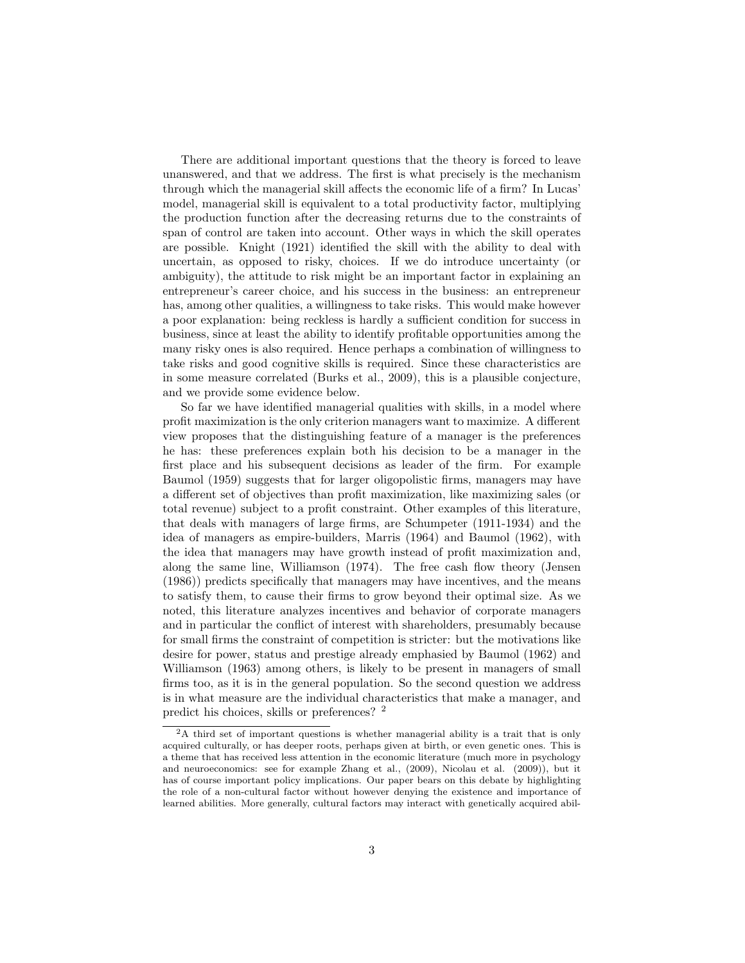There are additional important questions that the theory is forced to leave unanswered, and that we address. The first is what precisely is the mechanism through which the managerial skill affects the economic life of a firm? In Lucas' model, managerial skill is equivalent to a total productivity factor, multiplying the production function after the decreasing returns due to the constraints of span of control are taken into account. Other ways in which the skill operates are possible. Knight (1921) identified the skill with the ability to deal with uncertain, as opposed to risky, choices. If we do introduce uncertainty (or ambiguity), the attitude to risk might be an important factor in explaining an entrepreneur's career choice, and his success in the business: an entrepreneur has, among other qualities, a willingness to take risks. This would make however a poor explanation: being reckless is hardly a sufficient condition for success in business, since at least the ability to identify profitable opportunities among the many risky ones is also required. Hence perhaps a combination of willingness to take risks and good cognitive skills is required. Since these characteristics are in some measure correlated (Burks et al., 2009), this is a plausible conjecture, and we provide some evidence below.

So far we have identified managerial qualities with skills, in a model where profit maximization is the only criterion managers want to maximize. A different view proposes that the distinguishing feature of a manager is the preferences he has: these preferences explain both his decision to be a manager in the first place and his subsequent decisions as leader of the firm. For example Baumol (1959) suggests that for larger oligopolistic firms, managers may have a different set of objectives than profit maximization, like maximizing sales (or total revenue) subject to a profit constraint. Other examples of this literature, that deals with managers of large firms, are Schumpeter (1911-1934) and the idea of managers as empire-builders, Marris (1964) and Baumol (1962), with the idea that managers may have growth instead of profit maximization and, along the same line, Williamson (1974). The free cash flow theory (Jensen (1986)) predicts specifically that managers may have incentives, and the means to satisfy them, to cause their firms to grow beyond their optimal size. As we noted, this literature analyzes incentives and behavior of corporate managers and in particular the conflict of interest with shareholders, presumably because for small firms the constraint of competition is stricter: but the motivations like desire for power, status and prestige already emphasied by Baumol (1962) and Williamson (1963) among others, is likely to be present in managers of small firms too, as it is in the general population. So the second question we address is in what measure are the individual characteristics that make a manager, and predict his choices, skills or preferences? <sup>2</sup>

<sup>2</sup>A third set of important questions is whether managerial ability is a trait that is only acquired culturally, or has deeper roots, perhaps given at birth, or even genetic ones. This is a theme that has received less attention in the economic literature (much more in psychology and neuroeconomics: see for example Zhang et al., (2009), Nicolau et al. (2009)), but it has of course important policy implications. Our paper bears on this debate by highlighting the role of a non-cultural factor without however denying the existence and importance of learned abilities. More generally, cultural factors may interact with genetically acquired abil-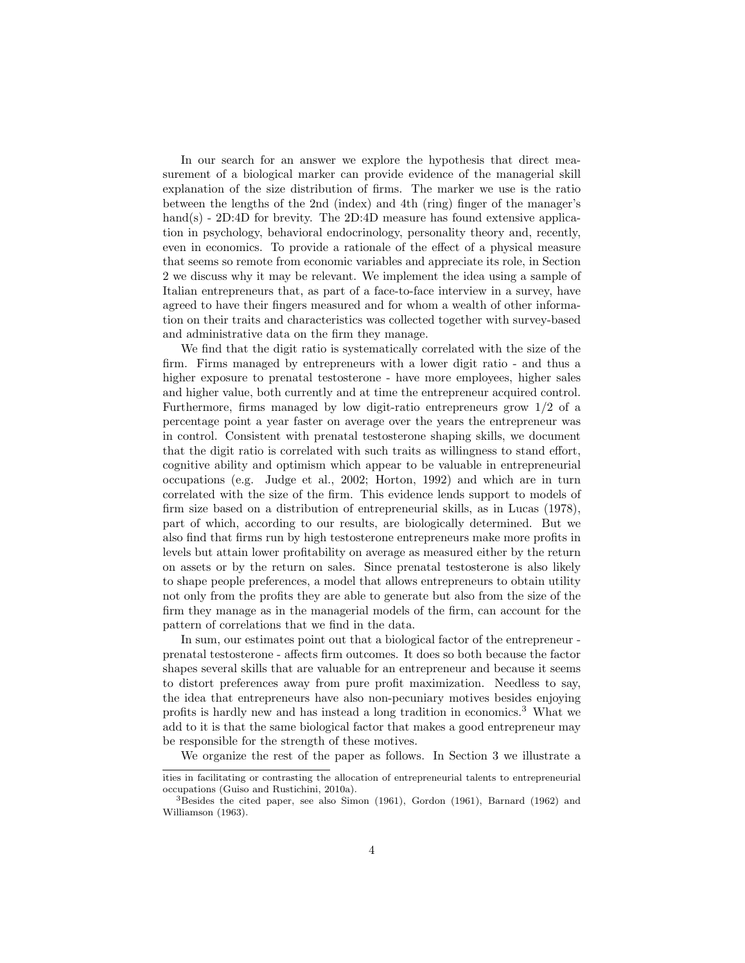In our search for an answer we explore the hypothesis that direct measurement of a biological marker can provide evidence of the managerial skill explanation of the size distribution of firms. The marker we use is the ratio between the lengths of the 2nd (index) and 4th (ring) finger of the manager's hand(s) - 2D:4D for brevity. The 2D:4D measure has found extensive application in psychology, behavioral endocrinology, personality theory and, recently, even in economics. To provide a rationale of the effect of a physical measure that seems so remote from economic variables and appreciate its role, in Section 2 we discuss why it may be relevant. We implement the idea using a sample of Italian entrepreneurs that, as part of a face-to-face interview in a survey, have agreed to have their fingers measured and for whom a wealth of other information on their traits and characteristics was collected together with survey-based and administrative data on the firm they manage.

We find that the digit ratio is systematically correlated with the size of the firm. Firms managed by entrepreneurs with a lower digit ratio - and thus a higher exposure to prenatal testosterone - have more employees, higher sales and higher value, both currently and at time the entrepreneur acquired control. Furthermore, firms managed by low digit-ratio entrepreneurs grow 1/2 of a percentage point a year faster on average over the years the entrepreneur was in control. Consistent with prenatal testosterone shaping skills, we document that the digit ratio is correlated with such traits as willingness to stand effort, cognitive ability and optimism which appear to be valuable in entrepreneurial occupations (e.g. Judge et al., 2002; Horton, 1992) and which are in turn correlated with the size of the firm. This evidence lends support to models of firm size based on a distribution of entrepreneurial skills, as in Lucas (1978), part of which, according to our results, are biologically determined. But we also find that firms run by high testosterone entrepreneurs make more profits in levels but attain lower profitability on average as measured either by the return on assets or by the return on sales. Since prenatal testosterone is also likely to shape people preferences, a model that allows entrepreneurs to obtain utility not only from the profits they are able to generate but also from the size of the firm they manage as in the managerial models of the firm, can account for the pattern of correlations that we find in the data.

In sum, our estimates point out that a biological factor of the entrepreneur prenatal testosterone - affects firm outcomes. It does so both because the factor shapes several skills that are valuable for an entrepreneur and because it seems to distort preferences away from pure profit maximization. Needless to say, the idea that entrepreneurs have also non-pecuniary motives besides enjoying profits is hardly new and has instead a long tradition in economics.<sup>3</sup> What we add to it is that the same biological factor that makes a good entrepreneur may be responsible for the strength of these motives.

We organize the rest of the paper as follows. In Section 3 we illustrate a

ities in facilitating or contrasting the allocation of entrepreneurial talents to entrepreneurial occupations (Guiso and Rustichini, 2010a).

<sup>3</sup>Besides the cited paper, see also Simon (1961), Gordon (1961), Barnard (1962) and Williamson (1963).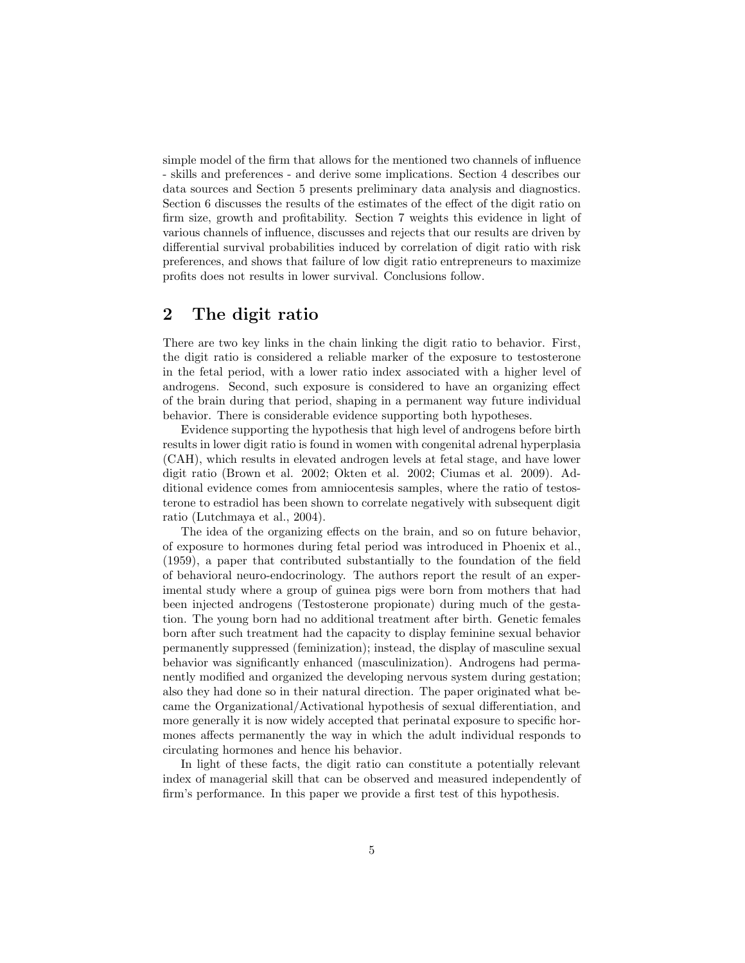simple model of the firm that allows for the mentioned two channels of influence - skills and preferences - and derive some implications. Section 4 describes our data sources and Section 5 presents preliminary data analysis and diagnostics. Section 6 discusses the results of the estimates of the effect of the digit ratio on firm size, growth and profitability. Section 7 weights this evidence in light of various channels of influence, discusses and rejects that our results are driven by differential survival probabilities induced by correlation of digit ratio with risk preferences, and shows that failure of low digit ratio entrepreneurs to maximize profits does not results in lower survival. Conclusions follow.

### 2 The digit ratio

There are two key links in the chain linking the digit ratio to behavior. First, the digit ratio is considered a reliable marker of the exposure to testosterone in the fetal period, with a lower ratio index associated with a higher level of androgens. Second, such exposure is considered to have an organizing effect of the brain during that period, shaping in a permanent way future individual behavior. There is considerable evidence supporting both hypotheses.

Evidence supporting the hypothesis that high level of androgens before birth results in lower digit ratio is found in women with congenital adrenal hyperplasia (CAH), which results in elevated androgen levels at fetal stage, and have lower digit ratio (Brown et al. 2002; Okten et al. 2002; Ciumas et al. 2009). Additional evidence comes from amniocentesis samples, where the ratio of testosterone to estradiol has been shown to correlate negatively with subsequent digit ratio (Lutchmaya et al., 2004).

The idea of the organizing effects on the brain, and so on future behavior, of exposure to hormones during fetal period was introduced in Phoenix et al., (1959), a paper that contributed substantially to the foundation of the field of behavioral neuro-endocrinology. The authors report the result of an experimental study where a group of guinea pigs were born from mothers that had been injected androgens (Testosterone propionate) during much of the gestation. The young born had no additional treatment after birth. Genetic females born after such treatment had the capacity to display feminine sexual behavior permanently suppressed (feminization); instead, the display of masculine sexual behavior was significantly enhanced (masculinization). Androgens had permanently modified and organized the developing nervous system during gestation; also they had done so in their natural direction. The paper originated what became the Organizational/Activational hypothesis of sexual differentiation, and more generally it is now widely accepted that perinatal exposure to specific hormones affects permanently the way in which the adult individual responds to circulating hormones and hence his behavior.

In light of these facts, the digit ratio can constitute a potentially relevant index of managerial skill that can be observed and measured independently of firm's performance. In this paper we provide a first test of this hypothesis.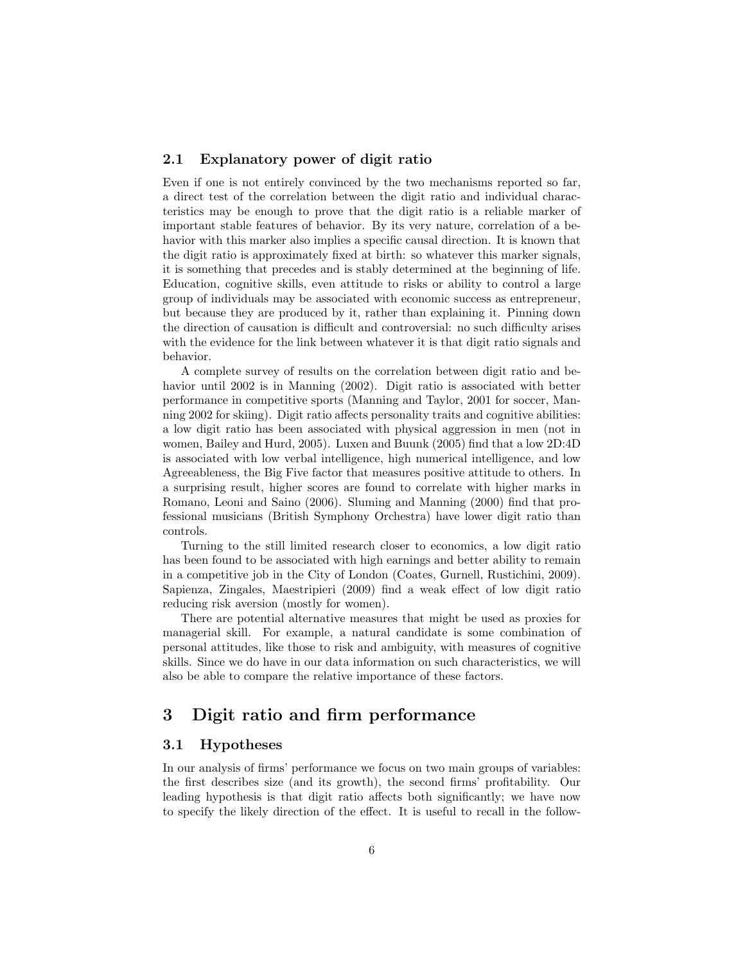#### 2.1 Explanatory power of digit ratio

Even if one is not entirely convinced by the two mechanisms reported so far, a direct test of the correlation between the digit ratio and individual characteristics may be enough to prove that the digit ratio is a reliable marker of important stable features of behavior. By its very nature, correlation of a behavior with this marker also implies a specific causal direction. It is known that the digit ratio is approximately fixed at birth: so whatever this marker signals, it is something that precedes and is stably determined at the beginning of life. Education, cognitive skills, even attitude to risks or ability to control a large group of individuals may be associated with economic success as entrepreneur, but because they are produced by it, rather than explaining it. Pinning down the direction of causation is difficult and controversial: no such difficulty arises with the evidence for the link between whatever it is that digit ratio signals and behavior.

A complete survey of results on the correlation between digit ratio and behavior until 2002 is in Manning (2002). Digit ratio is associated with better performance in competitive sports (Manning and Taylor, 2001 for soccer, Manning 2002 for skiing). Digit ratio affects personality traits and cognitive abilities: a low digit ratio has been associated with physical aggression in men (not in women, Bailey and Hurd, 2005). Luxen and Buunk (2005) find that a low 2D:4D is associated with low verbal intelligence, high numerical intelligence, and low Agreeableness, the Big Five factor that measures positive attitude to others. In a surprising result, higher scores are found to correlate with higher marks in Romano, Leoni and Saino (2006). Sluming and Manning (2000) find that professional musicians (British Symphony Orchestra) have lower digit ratio than controls.

Turning to the still limited research closer to economics, a low digit ratio has been found to be associated with high earnings and better ability to remain in a competitive job in the City of London (Coates, Gurnell, Rustichini, 2009). Sapienza, Zingales, Maestripieri (2009) find a weak effect of low digit ratio reducing risk aversion (mostly for women).

There are potential alternative measures that might be used as proxies for managerial skill. For example, a natural candidate is some combination of personal attitudes, like those to risk and ambiguity, with measures of cognitive skills. Since we do have in our data information on such characteristics, we will also be able to compare the relative importance of these factors.

### 3 Digit ratio and firm performance

#### 3.1 Hypotheses

In our analysis of firms' performance we focus on two main groups of variables: the first describes size (and its growth), the second firms' profitability. Our leading hypothesis is that digit ratio affects both significantly; we have now to specify the likely direction of the effect. It is useful to recall in the follow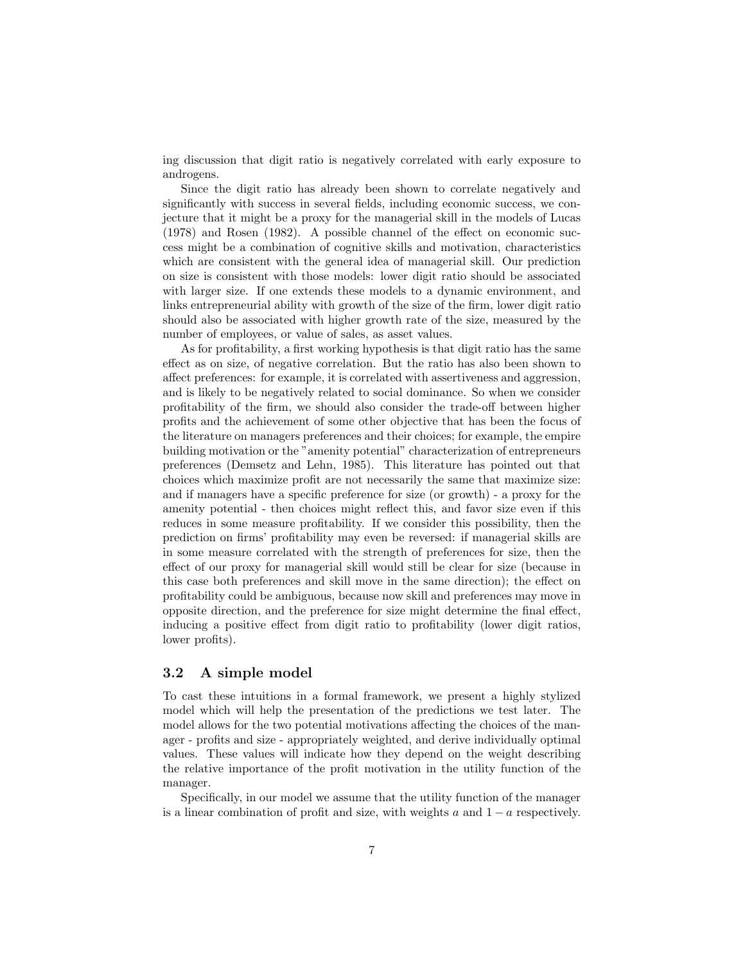ing discussion that digit ratio is negatively correlated with early exposure to androgens.

Since the digit ratio has already been shown to correlate negatively and significantly with success in several fields, including economic success, we conjecture that it might be a proxy for the managerial skill in the models of Lucas (1978) and Rosen (1982). A possible channel of the effect on economic success might be a combination of cognitive skills and motivation, characteristics which are consistent with the general idea of managerial skill. Our prediction on size is consistent with those models: lower digit ratio should be associated with larger size. If one extends these models to a dynamic environment, and links entrepreneurial ability with growth of the size of the firm, lower digit ratio should also be associated with higher growth rate of the size, measured by the number of employees, or value of sales, as asset values.

As for profitability, a first working hypothesis is that digit ratio has the same effect as on size, of negative correlation. But the ratio has also been shown to affect preferences: for example, it is correlated with assertiveness and aggression, and is likely to be negatively related to social dominance. So when we consider profitability of the firm, we should also consider the trade-off between higher profits and the achievement of some other objective that has been the focus of the literature on managers preferences and their choices; for example, the empire building motivation or the "amenity potential" characterization of entrepreneurs preferences (Demsetz and Lehn, 1985). This literature has pointed out that choices which maximize profit are not necessarily the same that maximize size: and if managers have a specific preference for size (or growth) - a proxy for the amenity potential - then choices might reflect this, and favor size even if this reduces in some measure profitability. If we consider this possibility, then the prediction on firms' profitability may even be reversed: if managerial skills are in some measure correlated with the strength of preferences for size, then the effect of our proxy for managerial skill would still be clear for size (because in this case both preferences and skill move in the same direction); the effect on profitability could be ambiguous, because now skill and preferences may move in opposite direction, and the preference for size might determine the final effect, inducing a positive effect from digit ratio to profitability (lower digit ratios, lower profits).

#### 3.2 A simple model

To cast these intuitions in a formal framework, we present a highly stylized model which will help the presentation of the predictions we test later. The model allows for the two potential motivations affecting the choices of the manager - profits and size - appropriately weighted, and derive individually optimal values. These values will indicate how they depend on the weight describing the relative importance of the profit motivation in the utility function of the manager.

Specifically, in our model we assume that the utility function of the manager is a linear combination of profit and size, with weights a and  $1 - a$  respectively.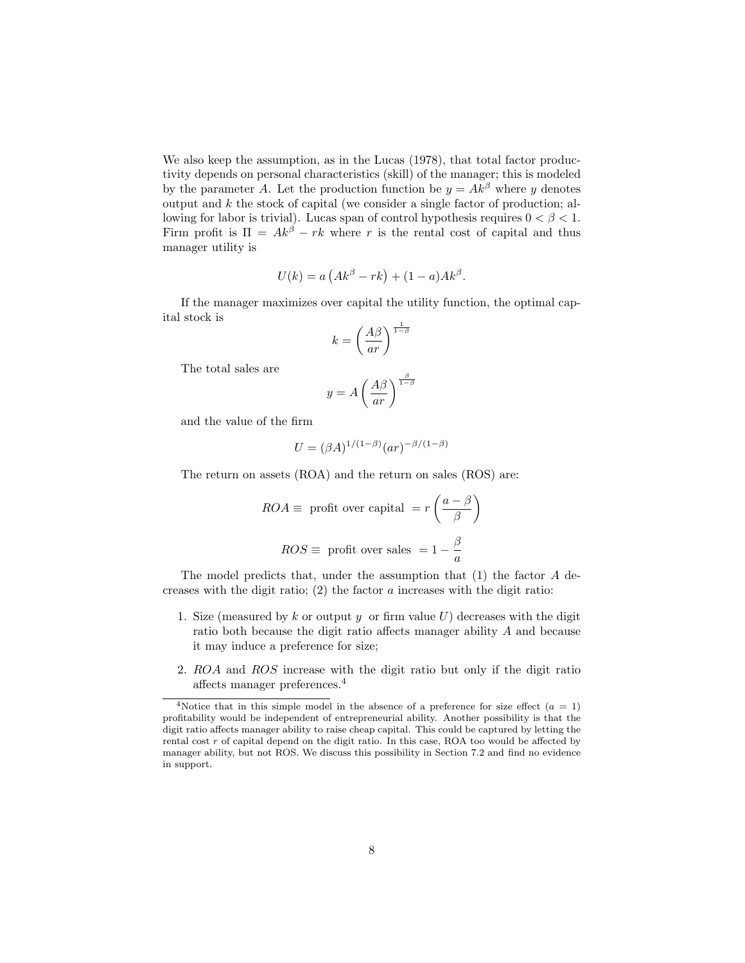We also keep the assumption, as in the Lucas (1978), that total factor productivity depends on personal characteristics (skill) of the manager; this is modeled by the parameter A. Let the production function be  $y = Ak^{\beta}$  where y denotes output and  $k$  the stock of capital (we consider a single factor of production; allowing for labor is trivial). Lucas span of control hypothesis requires  $0 < \beta < 1$ . Firm profit is  $\Pi = Ak^{\beta} - rk$  where r is the rental cost of capital and thus manager utility is

$$
U(k) = a\left(Ak^{\beta} - rk\right) + (1 - a)Ak^{\beta}.
$$

If the manager maximizes over capital the utility function, the optimal capital stock is

$$
k = \left(\frac{A\beta}{ar}\right)^{\frac{1}{1-\beta}}
$$

The total sales are

$$
y = A \left(\frac{A\beta}{ar}\right)^{\frac{\beta}{1-\beta}}
$$

and the value of the firm

$$
U = (\beta A)^{1/(1-\beta)} (ar)^{-\beta/(1-\beta)}
$$

The return on assets (ROA) and the return on sales (ROS) are:

$$
ROA \equiv
$$
 profit over capital  $= r \left( \frac{a - \beta}{\beta} \right)$   
 $ROS \equiv$  profit over sales  $= 1 - \frac{\beta}{a}$ 

The model predicts that, under the assumption that (1) the factor A decreases with the digit ratio; (2) the factor  $\alpha$  increases with the digit ratio:

- 1. Size (measured by k or output y or firm value  $U$ ) decreases with the digit ratio both because the digit ratio affects manager ability A and because it may induce a preference for size;
- 2. ROA and ROS increase with the digit ratio but only if the digit ratio affects manager preferences.<sup>4</sup>

<sup>&</sup>lt;sup>4</sup>Notice that in this simple model in the absence of a preference for size effect  $(a = 1)$ profitability would be independent of entrepreneurial ability. Another possibility is that the digit ratio affects manager ability to raise cheap capital. This could be captured by letting the rental cost r of capital depend on the digit ratio. In this case, ROA too would be affected by manager ability, but not ROS. We discuss this possibility in Section 7.2 and find no evidence in support.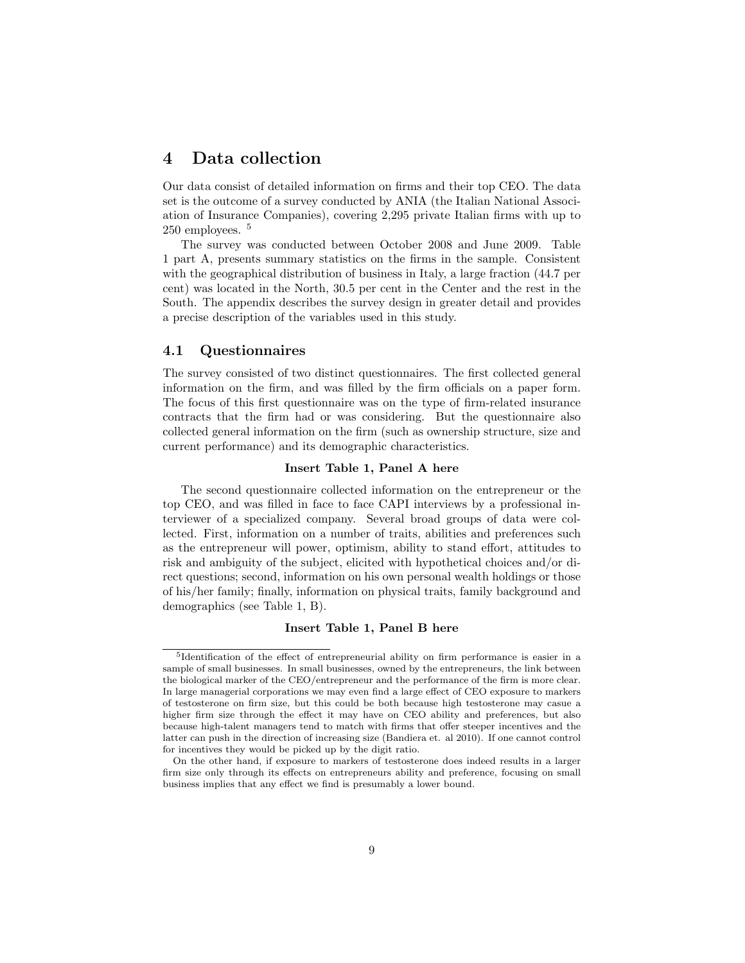### 4 Data collection

Our data consist of detailed information on firms and their top CEO. The data set is the outcome of a survey conducted by ANIA (the Italian National Association of Insurance Companies), covering 2,295 private Italian firms with up to 250 employees. <sup>5</sup>

The survey was conducted between October 2008 and June 2009. Table 1 part A, presents summary statistics on the firms in the sample. Consistent with the geographical distribution of business in Italy, a large fraction (44.7 per cent) was located in the North, 30.5 per cent in the Center and the rest in the South. The appendix describes the survey design in greater detail and provides a precise description of the variables used in this study.

#### 4.1 Questionnaires

The survey consisted of two distinct questionnaires. The first collected general information on the firm, and was filled by the firm officials on a paper form. The focus of this first questionnaire was on the type of firm-related insurance contracts that the firm had or was considering. But the questionnaire also collected general information on the firm (such as ownership structure, size and current performance) and its demographic characteristics.

#### Insert Table 1, Panel A here

The second questionnaire collected information on the entrepreneur or the top CEO, and was filled in face to face CAPI interviews by a professional interviewer of a specialized company. Several broad groups of data were collected. First, information on a number of traits, abilities and preferences such as the entrepreneur will power, optimism, ability to stand effort, attitudes to risk and ambiguity of the subject, elicited with hypothetical choices and/or direct questions; second, information on his own personal wealth holdings or those of his/her family; finally, information on physical traits, family background and demographics (see Table 1, B).

#### Insert Table 1, Panel B here

<sup>&</sup>lt;sup>5</sup>Identification of the effect of entrepreneurial ability on firm performance is easier in a sample of small businesses. In small businesses, owned by the entrepreneurs, the link between the biological marker of the CEO/entrepreneur and the performance of the firm is more clear. In large managerial corporations we may even find a large effect of CEO exposure to markers of testosterone on firm size, but this could be both because high testosterone may casue a higher firm size through the effect it may have on CEO ability and preferences, but also because high-talent managers tend to match with firms that offer steeper incentives and the latter can push in the direction of increasing size (Bandiera et. al 2010). If one cannot control for incentives they would be picked up by the digit ratio.

On the other hand, if exposure to markers of testosterone does indeed results in a larger firm size only through its effects on entrepreneurs ability and preference, focusing on small business implies that any effect we find is presumably a lower bound.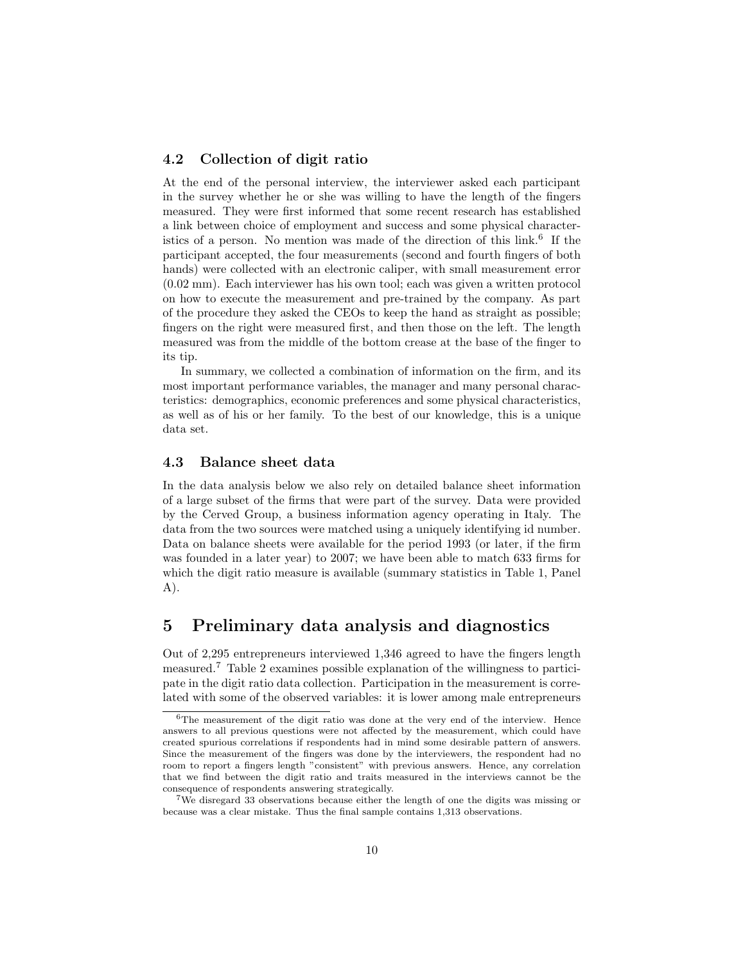#### 4.2 Collection of digit ratio

At the end of the personal interview, the interviewer asked each participant in the survey whether he or she was willing to have the length of the fingers measured. They were first informed that some recent research has established a link between choice of employment and success and some physical characteristics of a person. No mention was made of the direction of this  $link<sup>6</sup>$  If the participant accepted, the four measurements (second and fourth fingers of both hands) were collected with an electronic caliper, with small measurement error (0.02 mm). Each interviewer has his own tool; each was given a written protocol on how to execute the measurement and pre-trained by the company. As part of the procedure they asked the CEOs to keep the hand as straight as possible; fingers on the right were measured first, and then those on the left. The length measured was from the middle of the bottom crease at the base of the finger to its tip.

In summary, we collected a combination of information on the firm, and its most important performance variables, the manager and many personal characteristics: demographics, economic preferences and some physical characteristics, as well as of his or her family. To the best of our knowledge, this is a unique data set.

#### 4.3 Balance sheet data

In the data analysis below we also rely on detailed balance sheet information of a large subset of the firms that were part of the survey. Data were provided by the Cerved Group, a business information agency operating in Italy. The data from the two sources were matched using a uniquely identifying id number. Data on balance sheets were available for the period 1993 (or later, if the firm was founded in a later year) to 2007; we have been able to match 633 firms for which the digit ratio measure is available (summary statistics in Table 1, Panel A).

### 5 Preliminary data analysis and diagnostics

Out of 2,295 entrepreneurs interviewed 1,346 agreed to have the fingers length measured.<sup>7</sup> Table 2 examines possible explanation of the willingness to participate in the digit ratio data collection. Participation in the measurement is correlated with some of the observed variables: it is lower among male entrepreneurs

 $6$ The measurement of the digit ratio was done at the very end of the interview. Hence answers to all previous questions were not affected by the measurement, which could have created spurious correlations if respondents had in mind some desirable pattern of answers. Since the measurement of the fingers was done by the interviewers, the respondent had no room to report a fingers length "consistent" with previous answers. Hence, any correlation that we find between the digit ratio and traits measured in the interviews cannot be the consequence of respondents answering strategically.

<sup>7</sup>We disregard 33 observations because either the length of one the digits was missing or because was a clear mistake. Thus the final sample contains 1,313 observations.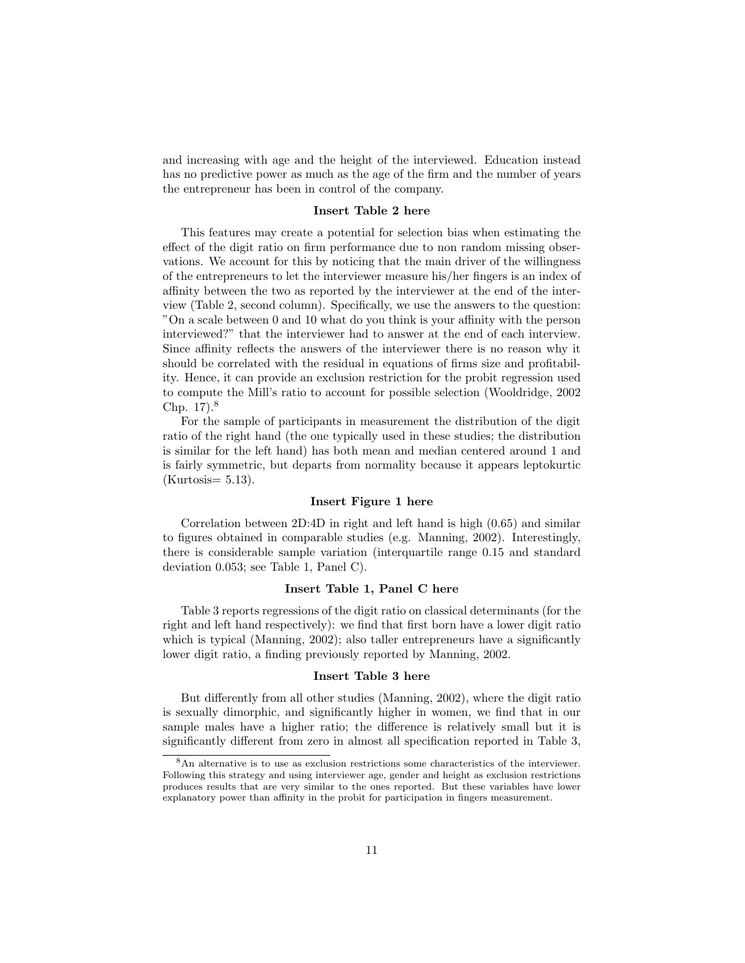and increasing with age and the height of the interviewed. Education instead has no predictive power as much as the age of the firm and the number of years the entrepreneur has been in control of the company.

#### Insert Table 2 here

This features may create a potential for selection bias when estimating the effect of the digit ratio on firm performance due to non random missing observations. We account for this by noticing that the main driver of the willingness of the entrepreneurs to let the interviewer measure his/her fingers is an index of affinity between the two as reported by the interviewer at the end of the interview (Table 2, second column). Specifically, we use the answers to the question: "On a scale between 0 and 10 what do you think is your affinity with the person interviewed?" that the interviewer had to answer at the end of each interview. Since affinity reflects the answers of the interviewer there is no reason why it should be correlated with the residual in equations of firms size and profitability. Hence, it can provide an exclusion restriction for the probit regression used to compute the Mill's ratio to account for possible selection (Wooldridge, 2002 Chp. 17).<sup>8</sup>

For the sample of participants in measurement the distribution of the digit ratio of the right hand (the one typically used in these studies; the distribution is similar for the left hand) has both mean and median centered around 1 and is fairly symmetric, but departs from normality because it appears leptokurtic  $(Kurtosis= 5.13).$ 

#### Insert Figure 1 here

Correlation between 2D:4D in right and left hand is high (0.65) and similar to figures obtained in comparable studies (e.g. Manning, 2002). Interestingly, there is considerable sample variation (interquartile range 0.15 and standard deviation 0.053; see Table 1, Panel C).

#### Insert Table 1, Panel C here

Table 3 reports regressions of the digit ratio on classical determinants (for the right and left hand respectively): we find that first born have a lower digit ratio which is typical (Manning, 2002); also taller entrepreneurs have a significantly lower digit ratio, a finding previously reported by Manning, 2002.

#### Insert Table 3 here

But differently from all other studies (Manning, 2002), where the digit ratio is sexually dimorphic, and significantly higher in women, we find that in our sample males have a higher ratio; the difference is relatively small but it is significantly different from zero in almost all specification reported in Table 3,

<sup>8</sup>An alternative is to use as exclusion restrictions some characteristics of the interviewer. Following this strategy and using interviewer age, gender and height as exclusion restrictions produces results that are very similar to the ones reported. But these variables have lower explanatory power than affinity in the probit for participation in fingers measurement.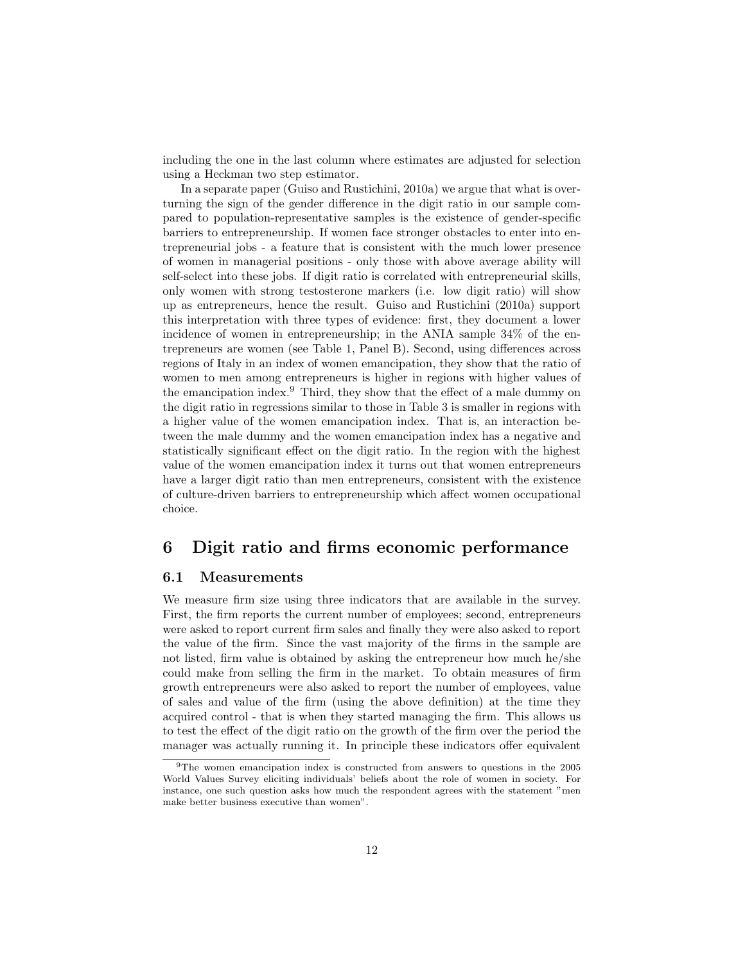including the one in the last column where estimates are adjusted for selection using a Heckman two step estimator.

In a separate paper (Guiso and Rustichini, 2010a) we argue that what is overturning the sign of the gender difference in the digit ratio in our sample compared to population-representative samples is the existence of gender-specific barriers to entrepreneurship. If women face stronger obstacles to enter into entrepreneurial jobs - a feature that is consistent with the much lower presence of women in managerial positions - only those with above average ability will self-select into these jobs. If digit ratio is correlated with entrepreneurial skills, only women with strong testosterone markers (i.e. low digit ratio) will show up as entrepreneurs, hence the result. Guiso and Rustichini (2010a) support this interpretation with three types of evidence: first, they document a lower incidence of women in entrepreneurship; in the ANIA sample 34% of the entrepreneurs are women (see Table 1, Panel B). Second, using differences across regions of Italy in an index of women emancipation, they show that the ratio of women to men among entrepreneurs is higher in regions with higher values of the emancipation index.<sup>9</sup> Third, they show that the effect of a male dummy on the digit ratio in regressions similar to those in Table 3 is smaller in regions with a higher value of the women emancipation index. That is, an interaction between the male dummy and the women emancipation index has a negative and statistically significant effect on the digit ratio. In the region with the highest value of the women emancipation index it turns out that women entrepreneurs have a larger digit ratio than men entrepreneurs, consistent with the existence of culture-driven barriers to entrepreneurship which affect women occupational choice.

### 6 Digit ratio and firms economic performance

#### 6.1 Measurements

We measure firm size using three indicators that are available in the survey. First, the firm reports the current number of employees; second, entrepreneurs were asked to report current firm sales and finally they were also asked to report the value of the firm. Since the vast majority of the firms in the sample are not listed, firm value is obtained by asking the entrepreneur how much he/she could make from selling the firm in the market. To obtain measures of firm growth entrepreneurs were also asked to report the number of employees, value of sales and value of the firm (using the above definition) at the time they acquired control - that is when they started managing the firm. This allows us to test the effect of the digit ratio on the growth of the firm over the period the manager was actually running it. In principle these indicators offer equivalent

<sup>9</sup>The women emancipation index is constructed from answers to questions in the 2005 World Values Survey eliciting individuals' beliefs about the role of women in society. For instance, one such question asks how much the respondent agrees with the statement "men make better business executive than women".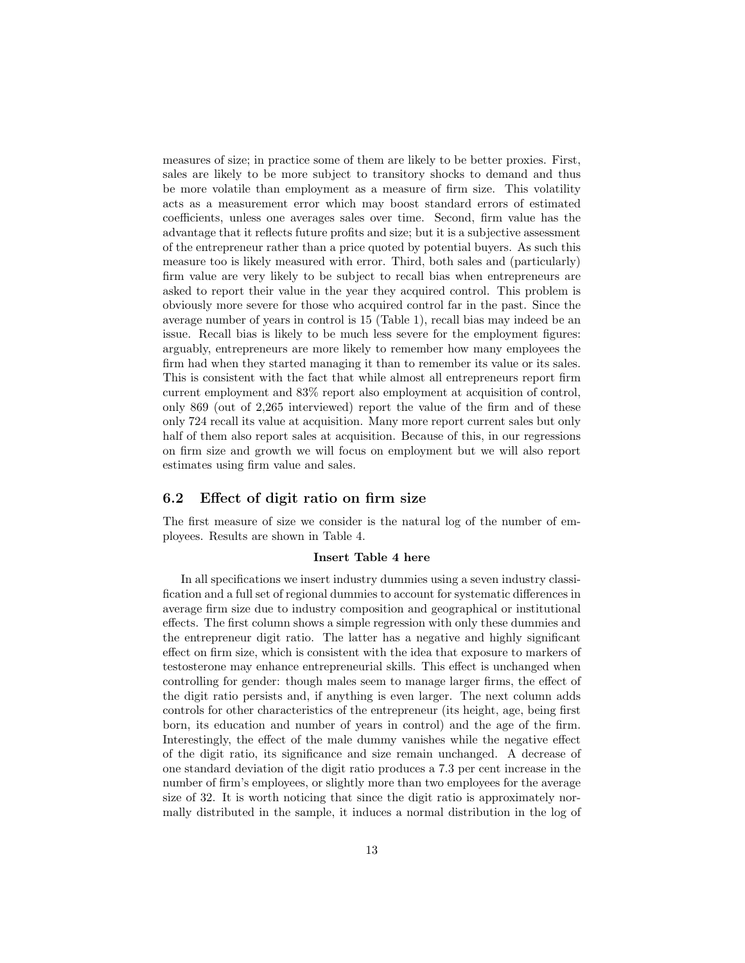measures of size; in practice some of them are likely to be better proxies. First, sales are likely to be more subject to transitory shocks to demand and thus be more volatile than employment as a measure of firm size. This volatility acts as a measurement error which may boost standard errors of estimated coefficients, unless one averages sales over time. Second, firm value has the advantage that it reflects future profits and size; but it is a subjective assessment of the entrepreneur rather than a price quoted by potential buyers. As such this measure too is likely measured with error. Third, both sales and (particularly) firm value are very likely to be subject to recall bias when entrepreneurs are asked to report their value in the year they acquired control. This problem is obviously more severe for those who acquired control far in the past. Since the average number of years in control is 15 (Table 1), recall bias may indeed be an issue. Recall bias is likely to be much less severe for the employment figures: arguably, entrepreneurs are more likely to remember how many employees the firm had when they started managing it than to remember its value or its sales. This is consistent with the fact that while almost all entrepreneurs report firm current employment and 83% report also employment at acquisition of control, only 869 (out of 2,265 interviewed) report the value of the firm and of these only 724 recall its value at acquisition. Many more report current sales but only half of them also report sales at acquisition. Because of this, in our regressions on firm size and growth we will focus on employment but we will also report estimates using firm value and sales.

#### 6.2 Effect of digit ratio on firm size

The first measure of size we consider is the natural log of the number of employees. Results are shown in Table 4.

#### Insert Table 4 here

In all specifications we insert industry dummies using a seven industry classification and a full set of regional dummies to account for systematic differences in average firm size due to industry composition and geographical or institutional effects. The first column shows a simple regression with only these dummies and the entrepreneur digit ratio. The latter has a negative and highly significant effect on firm size, which is consistent with the idea that exposure to markers of testosterone may enhance entrepreneurial skills. This effect is unchanged when controlling for gender: though males seem to manage larger firms, the effect of the digit ratio persists and, if anything is even larger. The next column adds controls for other characteristics of the entrepreneur (its height, age, being first born, its education and number of years in control) and the age of the firm. Interestingly, the effect of the male dummy vanishes while the negative effect of the digit ratio, its significance and size remain unchanged. A decrease of one standard deviation of the digit ratio produces a 7.3 per cent increase in the number of firm's employees, or slightly more than two employees for the average size of 32. It is worth noticing that since the digit ratio is approximately normally distributed in the sample, it induces a normal distribution in the log of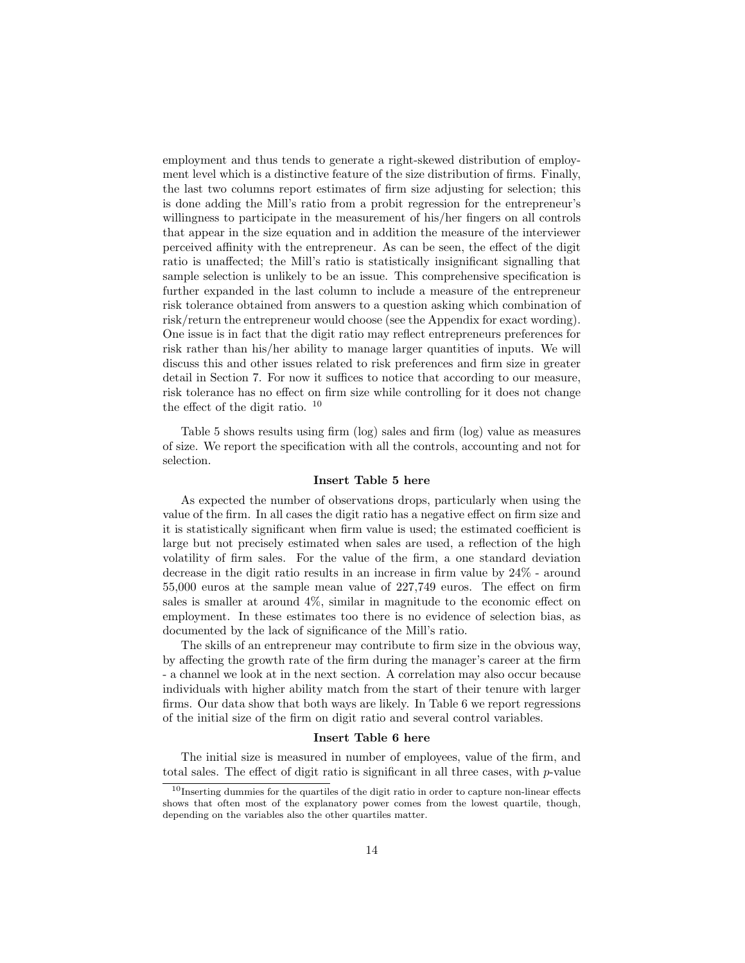employment and thus tends to generate a right-skewed distribution of employment level which is a distinctive feature of the size distribution of firms. Finally, the last two columns report estimates of firm size adjusting for selection; this is done adding the Mill's ratio from a probit regression for the entrepreneur's willingness to participate in the measurement of his/her fingers on all controls that appear in the size equation and in addition the measure of the interviewer perceived affinity with the entrepreneur. As can be seen, the effect of the digit ratio is unaffected; the Mill's ratio is statistically insignificant signalling that sample selection is unlikely to be an issue. This comprehensive specification is further expanded in the last column to include a measure of the entrepreneur risk tolerance obtained from answers to a question asking which combination of risk/return the entrepreneur would choose (see the Appendix for exact wording). One issue is in fact that the digit ratio may reflect entrepreneurs preferences for risk rather than his/her ability to manage larger quantities of inputs. We will discuss this and other issues related to risk preferences and firm size in greater detail in Section 7. For now it suffices to notice that according to our measure, risk tolerance has no effect on firm size while controlling for it does not change the effect of the digit ratio. <sup>10</sup>

Table 5 shows results using firm (log) sales and firm (log) value as measures of size. We report the specification with all the controls, accounting and not for selection.

#### Insert Table 5 here

As expected the number of observations drops, particularly when using the value of the firm. In all cases the digit ratio has a negative effect on firm size and it is statistically significant when firm value is used; the estimated coefficient is large but not precisely estimated when sales are used, a reflection of the high volatility of firm sales. For the value of the firm, a one standard deviation decrease in the digit ratio results in an increase in firm value by 24% - around 55,000 euros at the sample mean value of 227,749 euros. The effect on firm sales is smaller at around 4%, similar in magnitude to the economic effect on employment. In these estimates too there is no evidence of selection bias, as documented by the lack of significance of the Mill's ratio.

The skills of an entrepreneur may contribute to firm size in the obvious way, by affecting the growth rate of the firm during the manager's career at the firm - a channel we look at in the next section. A correlation may also occur because individuals with higher ability match from the start of their tenure with larger firms. Our data show that both ways are likely. In Table 6 we report regressions of the initial size of the firm on digit ratio and several control variables.

#### Insert Table 6 here

The initial size is measured in number of employees, value of the firm, and total sales. The effect of digit ratio is significant in all three cases, with  $p$ -value

<sup>&</sup>lt;sup>10</sup>Inserting dummies for the quartiles of the digit ratio in order to capture non-linear effects shows that often most of the explanatory power comes from the lowest quartile, though, depending on the variables also the other quartiles matter.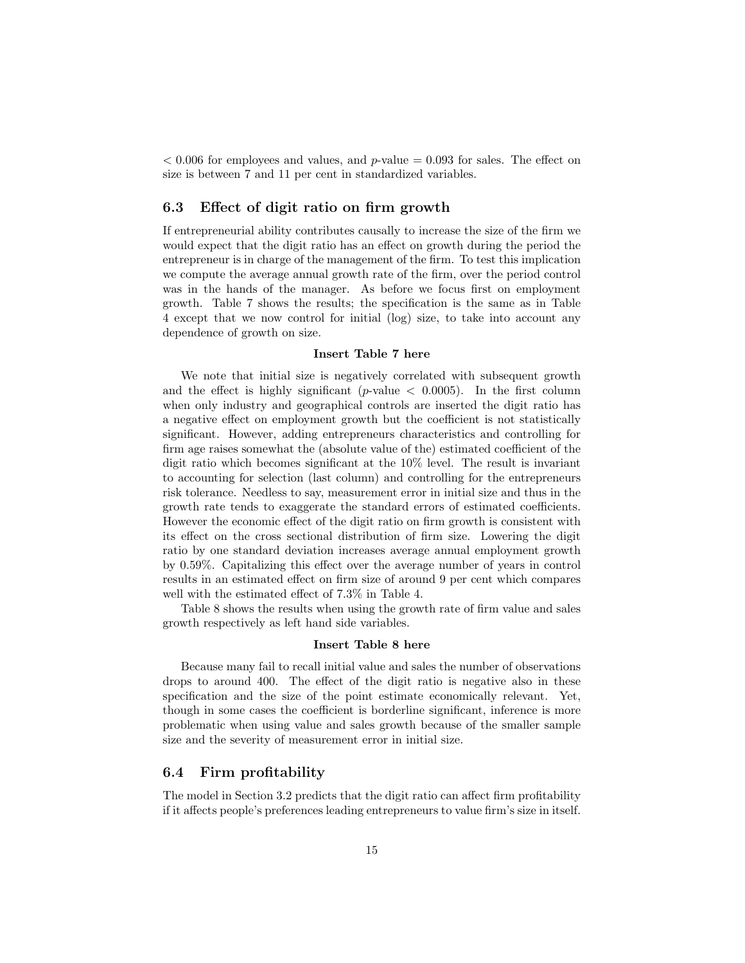$< 0.006$  for employees and values, and p-value  $= 0.093$  for sales. The effect on size is between 7 and 11 per cent in standardized variables.

#### 6.3 Effect of digit ratio on firm growth

If entrepreneurial ability contributes causally to increase the size of the firm we would expect that the digit ratio has an effect on growth during the period the entrepreneur is in charge of the management of the firm. To test this implication we compute the average annual growth rate of the firm, over the period control was in the hands of the manager. As before we focus first on employment growth. Table 7 shows the results; the specification is the same as in Table 4 except that we now control for initial (log) size, to take into account any dependence of growth on size.

#### Insert Table 7 here

We note that initial size is negatively correlated with subsequent growth and the effect is highly significant ( $p$ -value  $\lt$  0.0005). In the first column when only industry and geographical controls are inserted the digit ratio has a negative effect on employment growth but the coefficient is not statistically significant. However, adding entrepreneurs characteristics and controlling for firm age raises somewhat the (absolute value of the) estimated coefficient of the digit ratio which becomes significant at the 10% level. The result is invariant to accounting for selection (last column) and controlling for the entrepreneurs risk tolerance. Needless to say, measurement error in initial size and thus in the growth rate tends to exaggerate the standard errors of estimated coefficients. However the economic effect of the digit ratio on firm growth is consistent with its effect on the cross sectional distribution of firm size. Lowering the digit ratio by one standard deviation increases average annual employment growth by 0.59%. Capitalizing this effect over the average number of years in control results in an estimated effect on firm size of around 9 per cent which compares well with the estimated effect of 7.3% in Table 4.

Table 8 shows the results when using the growth rate of firm value and sales growth respectively as left hand side variables.

#### Insert Table 8 here

Because many fail to recall initial value and sales the number of observations drops to around 400. The effect of the digit ratio is negative also in these specification and the size of the point estimate economically relevant. Yet, though in some cases the coefficient is borderline significant, inference is more problematic when using value and sales growth because of the smaller sample size and the severity of measurement error in initial size.

#### 6.4 Firm profitability

The model in Section 3.2 predicts that the digit ratio can affect firm profitability if it affects people's preferences leading entrepreneurs to value firm's size in itself.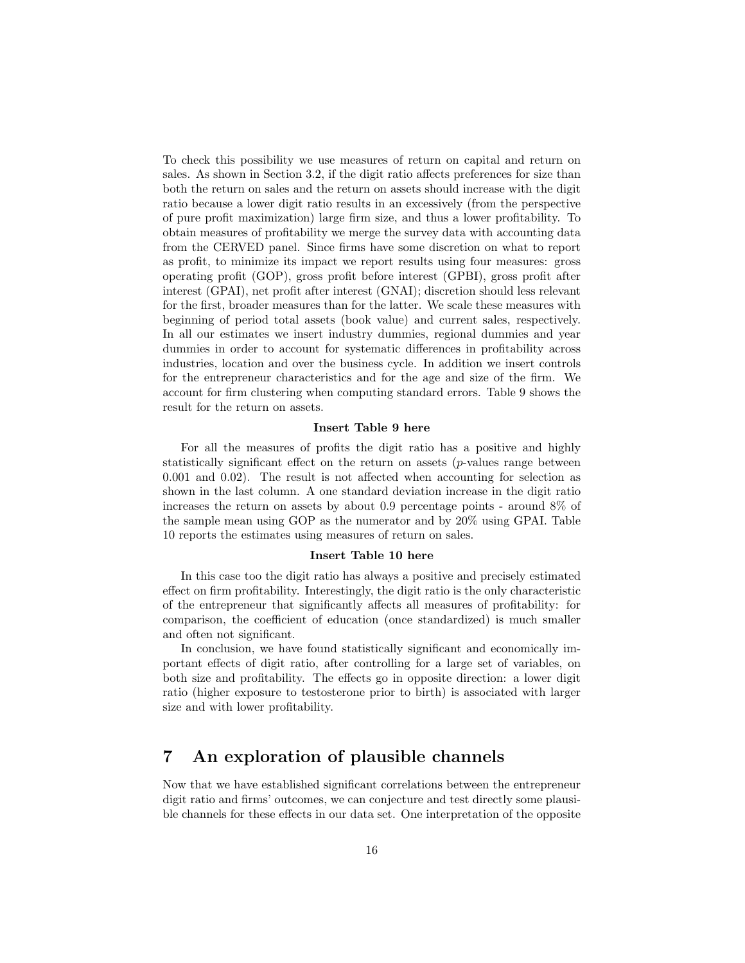To check this possibility we use measures of return on capital and return on sales. As shown in Section 3.2, if the digit ratio affects preferences for size than both the return on sales and the return on assets should increase with the digit ratio because a lower digit ratio results in an excessively (from the perspective of pure profit maximization) large firm size, and thus a lower profitability. To obtain measures of profitability we merge the survey data with accounting data from the CERVED panel. Since firms have some discretion on what to report as profit, to minimize its impact we report results using four measures: gross operating profit (GOP), gross profit before interest (GPBI), gross profit after interest (GPAI), net profit after interest (GNAI); discretion should less relevant for the first, broader measures than for the latter. We scale these measures with beginning of period total assets (book value) and current sales, respectively. In all our estimates we insert industry dummies, regional dummies and year dummies in order to account for systematic differences in profitability across industries, location and over the business cycle. In addition we insert controls for the entrepreneur characteristics and for the age and size of the firm. We account for firm clustering when computing standard errors. Table 9 shows the result for the return on assets.

#### Insert Table 9 here

For all the measures of profits the digit ratio has a positive and highly statistically significant effect on the return on assets (p-values range between 0.001 and 0.02). The result is not affected when accounting for selection as shown in the last column. A one standard deviation increase in the digit ratio increases the return on assets by about 0.9 percentage points - around 8% of the sample mean using GOP as the numerator and by 20% using GPAI. Table 10 reports the estimates using measures of return on sales.

#### Insert Table 10 here

In this case too the digit ratio has always a positive and precisely estimated effect on firm profitability. Interestingly, the digit ratio is the only characteristic of the entrepreneur that significantly affects all measures of profitability: for comparison, the coefficient of education (once standardized) is much smaller and often not significant.

In conclusion, we have found statistically significant and economically important effects of digit ratio, after controlling for a large set of variables, on both size and profitability. The effects go in opposite direction: a lower digit ratio (higher exposure to testosterone prior to birth) is associated with larger size and with lower profitability.

### 7 An exploration of plausible channels

Now that we have established significant correlations between the entrepreneur digit ratio and firms' outcomes, we can conjecture and test directly some plausible channels for these effects in our data set. One interpretation of the opposite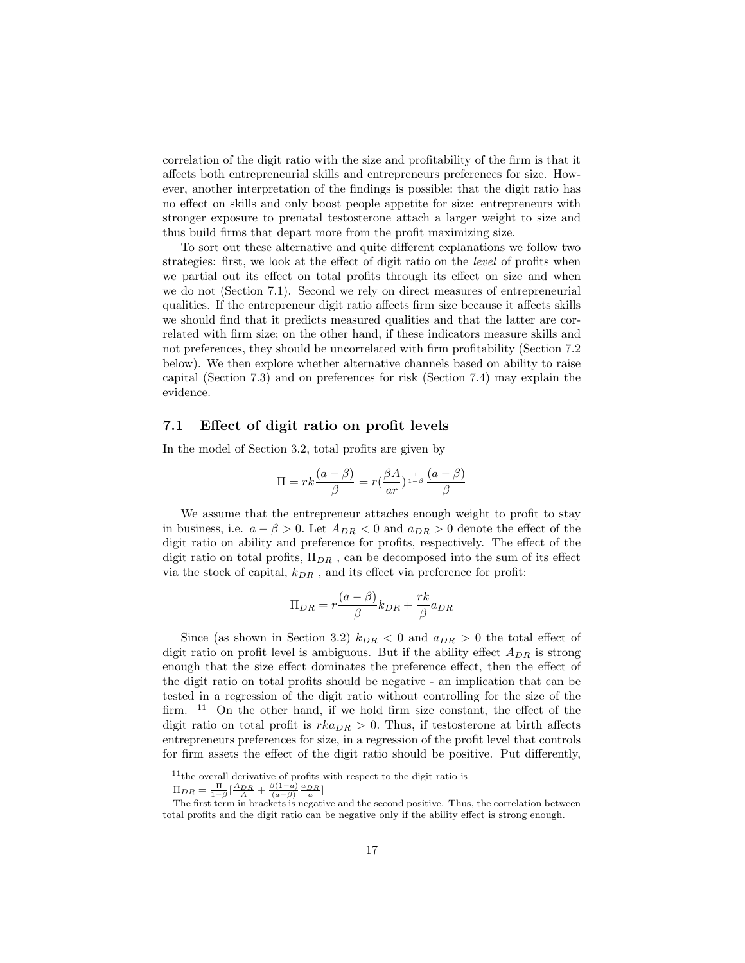correlation of the digit ratio with the size and profitability of the firm is that it affects both entrepreneurial skills and entrepreneurs preferences for size. However, another interpretation of the findings is possible: that the digit ratio has no effect on skills and only boost people appetite for size: entrepreneurs with stronger exposure to prenatal testosterone attach a larger weight to size and thus build firms that depart more from the profit maximizing size.

To sort out these alternative and quite different explanations we follow two strategies: first, we look at the effect of digit ratio on the level of profits when we partial out its effect on total profits through its effect on size and when we do not (Section 7.1). Second we rely on direct measures of entrepreneurial qualities. If the entrepreneur digit ratio affects firm size because it affects skills we should find that it predicts measured qualities and that the latter are correlated with firm size; on the other hand, if these indicators measure skills and not preferences, they should be uncorrelated with firm profitability (Section 7.2 below). We then explore whether alternative channels based on ability to raise capital (Section 7.3) and on preferences for risk (Section 7.4) may explain the evidence.

#### 7.1 Effect of digit ratio on profit levels

In the model of Section 3.2, total profits are given by

$$
\Pi = rk \frac{(a - \beta)}{\beta} = r\left(\frac{\beta A}{ar}\right)^{\frac{1}{1-\beta}} \frac{(a - \beta)}{\beta}
$$

We assume that the entrepreneur attaches enough weight to profit to stay in business, i.e.  $a - \beta > 0$ . Let  $A_{DR} < 0$  and  $a_{DR} > 0$  denote the effect of the digit ratio on ability and preference for profits, respectively. The effect of the digit ratio on total profits,  $\Pi_{DR}$ , can be decomposed into the sum of its effect via the stock of capital,  $k_{DR}$ , and its effect via preference for profit:

$$
\Pi_{DR} = r \frac{(a - \beta)}{\beta} k_{DR} + \frac{rk}{\beta} a_{DR}
$$

Since (as shown in Section 3.2)  $k_{DR}$  < 0 and  $a_{DR}$  > 0 the total effect of digit ratio on profit level is ambiguous. But if the ability effect  $A_{DR}$  is strong enough that the size effect dominates the preference effect, then the effect of the digit ratio on total profits should be negative - an implication that can be tested in a regression of the digit ratio without controlling for the size of the firm.  $11$  On the other hand, if we hold firm size constant, the effect of the digit ratio on total profit is  $rka_{DR} > 0$ . Thus, if testosterone at birth affects entrepreneurs preferences for size, in a regression of the profit level that controls for firm assets the effect of the digit ratio should be positive. Put differently,

 $11$  the overall derivative of profits with respect to the digit ratio is

 $\Pi_{DR} = \frac{\Pi}{1-\beta} \left[ \frac{A_{DR}}{A} + \frac{\beta(1-a)}{(a-\beta)} \frac{a_{DR}}{a} \right]$ 

The first term in brackets is negative and the second positive. Thus, the correlation between total profits and the digit ratio can be negative only if the ability effect is strong enough.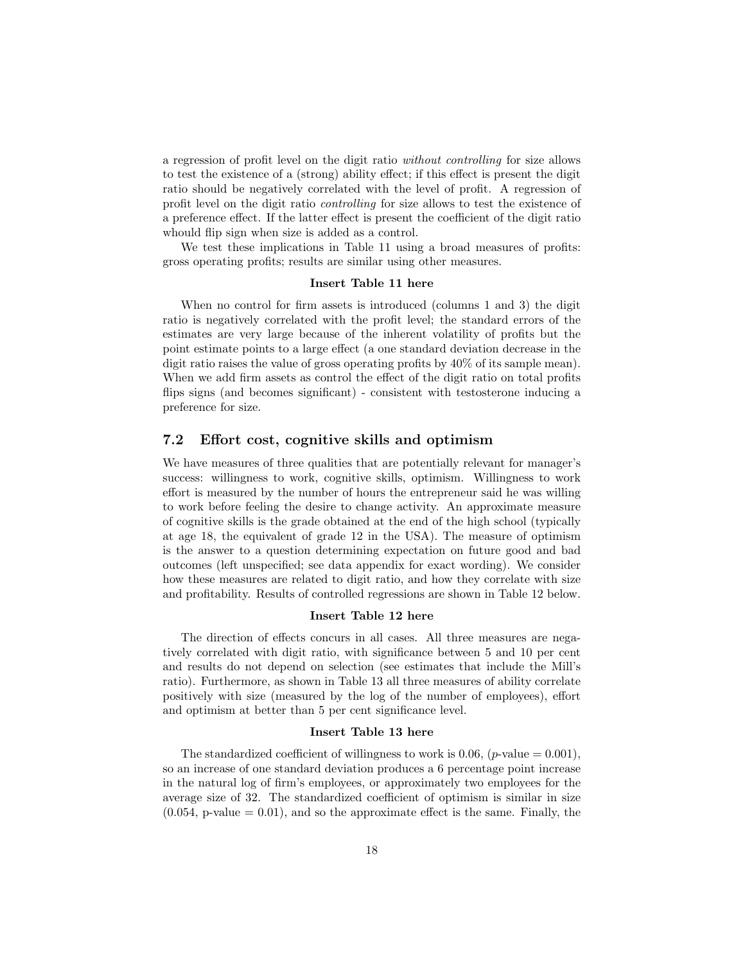a regression of profit level on the digit ratio without controlling for size allows to test the existence of a (strong) ability effect; if this effect is present the digit ratio should be negatively correlated with the level of profit. A regression of profit level on the digit ratio controlling for size allows to test the existence of a preference effect. If the latter effect is present the coefficient of the digit ratio whould flip sign when size is added as a control.

We test these implications in Table 11 using a broad measures of profits: gross operating profits; results are similar using other measures.

#### Insert Table 11 here

When no control for firm assets is introduced (columns 1 and 3) the digit ratio is negatively correlated with the profit level; the standard errors of the estimates are very large because of the inherent volatility of profits but the point estimate points to a large effect (a one standard deviation decrease in the digit ratio raises the value of gross operating profits by 40% of its sample mean). When we add firm assets as control the effect of the digit ratio on total profits flips signs (and becomes significant) - consistent with testosterone inducing a preference for size.

#### 7.2 Effort cost, cognitive skills and optimism

We have measures of three qualities that are potentially relevant for manager's success: willingness to work, cognitive skills, optimism. Willingness to work effort is measured by the number of hours the entrepreneur said he was willing to work before feeling the desire to change activity. An approximate measure of cognitive skills is the grade obtained at the end of the high school (typically at age 18, the equivalent of grade 12 in the USA). The measure of optimism is the answer to a question determining expectation on future good and bad outcomes (left unspecified; see data appendix for exact wording). We consider how these measures are related to digit ratio, and how they correlate with size and profitability. Results of controlled regressions are shown in Table 12 below.

#### Insert Table 12 here

The direction of effects concurs in all cases. All three measures are negatively correlated with digit ratio, with significance between 5 and 10 per cent and results do not depend on selection (see estimates that include the Mill's ratio). Furthermore, as shown in Table 13 all three measures of ability correlate positively with size (measured by the log of the number of employees), effort and optimism at better than 5 per cent significance level.

#### Insert Table 13 here

The standardized coefficient of willingness to work is  $0.06$ ,  $(p$ -value  $= 0.001$ ), so an increase of one standard deviation produces a 6 percentage point increase in the natural log of firm's employees, or approximately two employees for the average size of 32. The standardized coefficient of optimism is similar in size  $(0.054, p-value = 0.01)$ , and so the approximate effect is the same. Finally, the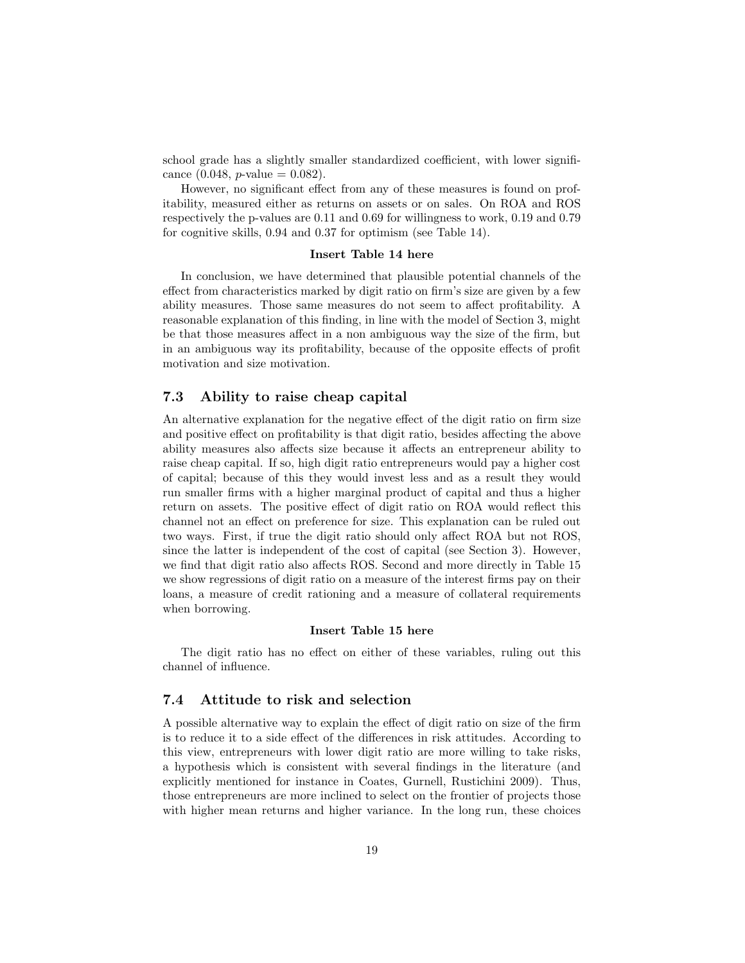school grade has a slightly smaller standardized coefficient, with lower significance (0.048, *p*-value = 0.082).

However, no significant effect from any of these measures is found on profitability, measured either as returns on assets or on sales. On ROA and ROS respectively the p-values are 0.11 and 0.69 for willingness to work, 0.19 and 0.79 for cognitive skills, 0.94 and 0.37 for optimism (see Table 14).

#### Insert Table 14 here

In conclusion, we have determined that plausible potential channels of the effect from characteristics marked by digit ratio on firm's size are given by a few ability measures. Those same measures do not seem to affect profitability. A reasonable explanation of this finding, in line with the model of Section 3, might be that those measures affect in a non ambiguous way the size of the firm, but in an ambiguous way its profitability, because of the opposite effects of profit motivation and size motivation.

#### 7.3 Ability to raise cheap capital

An alternative explanation for the negative effect of the digit ratio on firm size and positive effect on profitability is that digit ratio, besides affecting the above ability measures also affects size because it affects an entrepreneur ability to raise cheap capital. If so, high digit ratio entrepreneurs would pay a higher cost of capital; because of this they would invest less and as a result they would run smaller firms with a higher marginal product of capital and thus a higher return on assets. The positive effect of digit ratio on ROA would reflect this channel not an effect on preference for size. This explanation can be ruled out two ways. First, if true the digit ratio should only affect ROA but not ROS, since the latter is independent of the cost of capital (see Section 3). However, we find that digit ratio also affects ROS. Second and more directly in Table 15 we show regressions of digit ratio on a measure of the interest firms pay on their loans, a measure of credit rationing and a measure of collateral requirements when borrowing.

#### Insert Table 15 here

The digit ratio has no effect on either of these variables, ruling out this channel of influence.

#### 7.4 Attitude to risk and selection

A possible alternative way to explain the effect of digit ratio on size of the firm is to reduce it to a side effect of the differences in risk attitudes. According to this view, entrepreneurs with lower digit ratio are more willing to take risks, a hypothesis which is consistent with several findings in the literature (and explicitly mentioned for instance in Coates, Gurnell, Rustichini 2009). Thus, those entrepreneurs are more inclined to select on the frontier of projects those with higher mean returns and higher variance. In the long run, these choices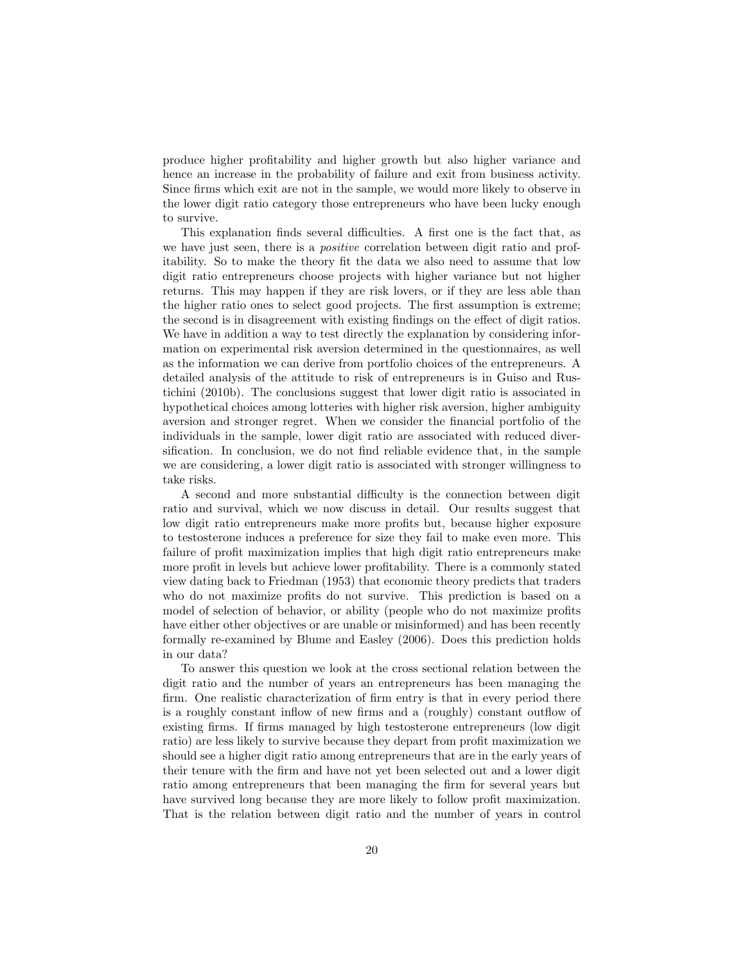produce higher profitability and higher growth but also higher variance and hence an increase in the probability of failure and exit from business activity. Since firms which exit are not in the sample, we would more likely to observe in the lower digit ratio category those entrepreneurs who have been lucky enough to survive.

This explanation finds several difficulties. A first one is the fact that, as we have just seen, there is a *positive* correlation between digit ratio and profitability. So to make the theory fit the data we also need to assume that low digit ratio entrepreneurs choose projects with higher variance but not higher returns. This may happen if they are risk lovers, or if they are less able than the higher ratio ones to select good projects. The first assumption is extreme; the second is in disagreement with existing findings on the effect of digit ratios. We have in addition a way to test directly the explanation by considering information on experimental risk aversion determined in the questionnaires, as well as the information we can derive from portfolio choices of the entrepreneurs. A detailed analysis of the attitude to risk of entrepreneurs is in Guiso and Rustichini (2010b). The conclusions suggest that lower digit ratio is associated in hypothetical choices among lotteries with higher risk aversion, higher ambiguity aversion and stronger regret. When we consider the financial portfolio of the individuals in the sample, lower digit ratio are associated with reduced diversification. In conclusion, we do not find reliable evidence that, in the sample we are considering, a lower digit ratio is associated with stronger willingness to take risks.

A second and more substantial difficulty is the connection between digit ratio and survival, which we now discuss in detail. Our results suggest that low digit ratio entrepreneurs make more profits but, because higher exposure to testosterone induces a preference for size they fail to make even more. This failure of profit maximization implies that high digit ratio entrepreneurs make more profit in levels but achieve lower profitability. There is a commonly stated view dating back to Friedman (1953) that economic theory predicts that traders who do not maximize profits do not survive. This prediction is based on a model of selection of behavior, or ability (people who do not maximize profits have either other objectives or are unable or misinformed) and has been recently formally re-examined by Blume and Easley (2006). Does this prediction holds in our data?

To answer this question we look at the cross sectional relation between the digit ratio and the number of years an entrepreneurs has been managing the firm. One realistic characterization of firm entry is that in every period there is a roughly constant inflow of new firms and a (roughly) constant outflow of existing firms. If firms managed by high testosterone entrepreneurs (low digit ratio) are less likely to survive because they depart from profit maximization we should see a higher digit ratio among entrepreneurs that are in the early years of their tenure with the firm and have not yet been selected out and a lower digit ratio among entrepreneurs that been managing the firm for several years but have survived long because they are more likely to follow profit maximization. That is the relation between digit ratio and the number of years in control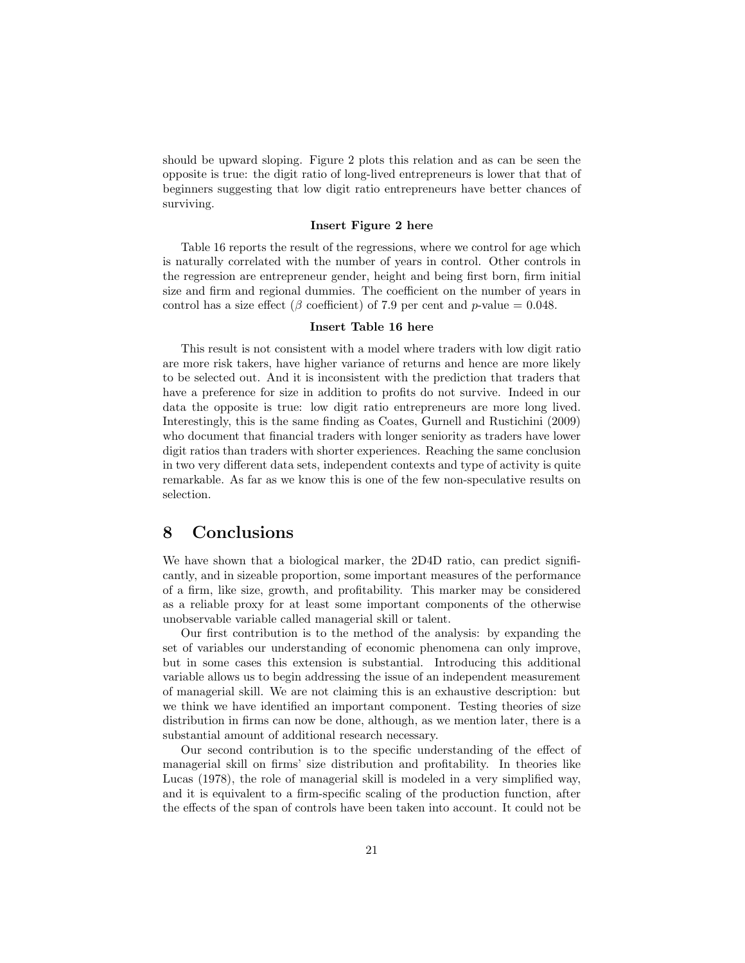should be upward sloping. Figure 2 plots this relation and as can be seen the opposite is true: the digit ratio of long-lived entrepreneurs is lower that that of beginners suggesting that low digit ratio entrepreneurs have better chances of surviving.

#### Insert Figure 2 here

Table 16 reports the result of the regressions, where we control for age which is naturally correlated with the number of years in control. Other controls in the regression are entrepreneur gender, height and being first born, firm initial size and firm and regional dummies. The coefficient on the number of years in control has a size effect ( $\beta$  coefficient) of 7.9 per cent and p-value = 0.048.

#### Insert Table 16 here

This result is not consistent with a model where traders with low digit ratio are more risk takers, have higher variance of returns and hence are more likely to be selected out. And it is inconsistent with the prediction that traders that have a preference for size in addition to profits do not survive. Indeed in our data the opposite is true: low digit ratio entrepreneurs are more long lived. Interestingly, this is the same finding as Coates, Gurnell and Rustichini (2009) who document that financial traders with longer seniority as traders have lower digit ratios than traders with shorter experiences. Reaching the same conclusion in two very different data sets, independent contexts and type of activity is quite remarkable. As far as we know this is one of the few non-speculative results on selection.

### 8 Conclusions

We have shown that a biological marker, the 2D4D ratio, can predict significantly, and in sizeable proportion, some important measures of the performance of a firm, like size, growth, and profitability. This marker may be considered as a reliable proxy for at least some important components of the otherwise unobservable variable called managerial skill or talent.

Our first contribution is to the method of the analysis: by expanding the set of variables our understanding of economic phenomena can only improve, but in some cases this extension is substantial. Introducing this additional variable allows us to begin addressing the issue of an independent measurement of managerial skill. We are not claiming this is an exhaustive description: but we think we have identified an important component. Testing theories of size distribution in firms can now be done, although, as we mention later, there is a substantial amount of additional research necessary.

Our second contribution is to the specific understanding of the effect of managerial skill on firms' size distribution and profitability. In theories like Lucas (1978), the role of managerial skill is modeled in a very simplified way, and it is equivalent to a firm-specific scaling of the production function, after the effects of the span of controls have been taken into account. It could not be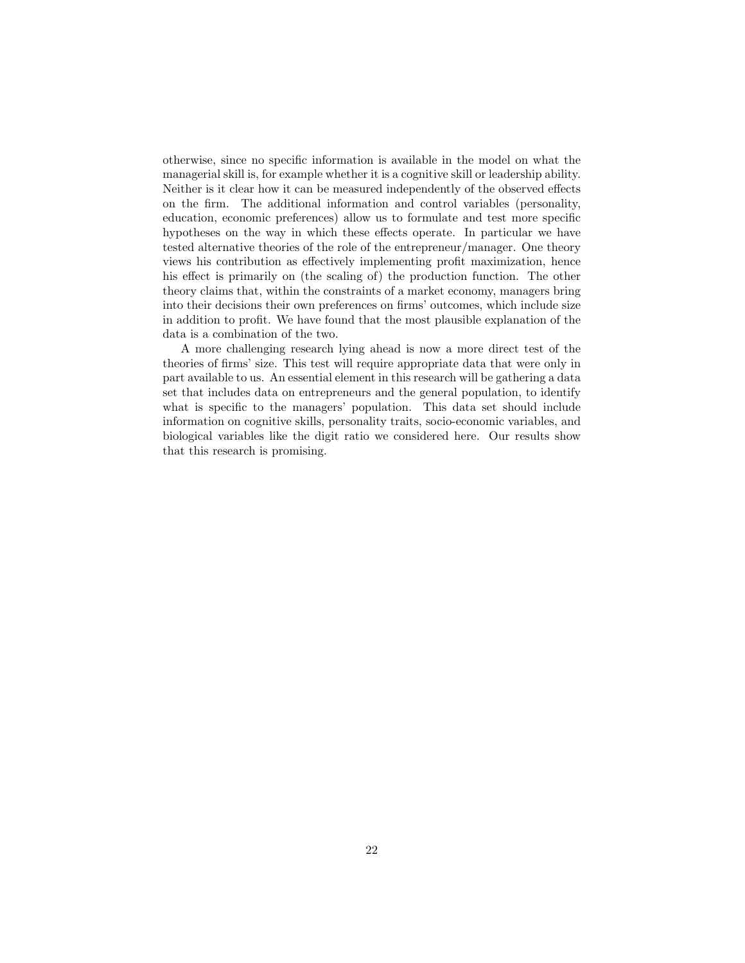otherwise, since no specific information is available in the model on what the managerial skill is, for example whether it is a cognitive skill or leadership ability. Neither is it clear how it can be measured independently of the observed effects on the firm. The additional information and control variables (personality, education, economic preferences) allow us to formulate and test more specific hypotheses on the way in which these effects operate. In particular we have tested alternative theories of the role of the entrepreneur/manager. One theory views his contribution as effectively implementing profit maximization, hence his effect is primarily on (the scaling of) the production function. The other theory claims that, within the constraints of a market economy, managers bring into their decisions their own preferences on firms' outcomes, which include size in addition to profit. We have found that the most plausible explanation of the data is a combination of the two.

A more challenging research lying ahead is now a more direct test of the theories of firms' size. This test will require appropriate data that were only in part available to us. An essential element in this research will be gathering a data set that includes data on entrepreneurs and the general population, to identify what is specific to the managers' population. This data set should include information on cognitive skills, personality traits, socio-economic variables, and biological variables like the digit ratio we considered here. Our results show that this research is promising.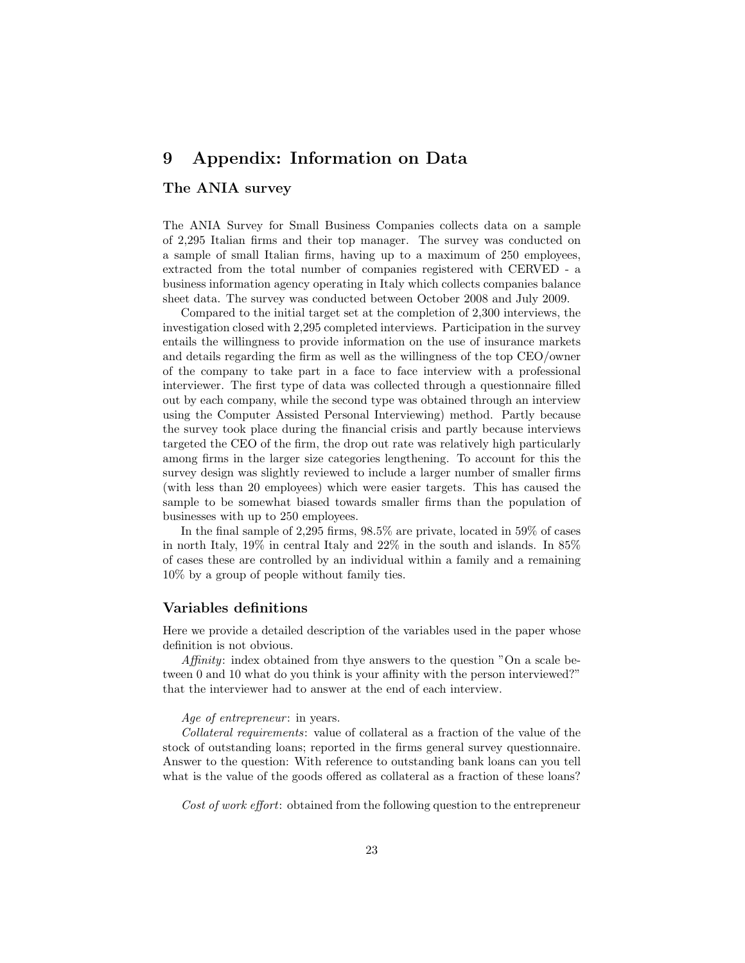### 9 Appendix: Information on Data

#### The ANIA survey

The ANIA Survey for Small Business Companies collects data on a sample of 2,295 Italian firms and their top manager. The survey was conducted on a sample of small Italian firms, having up to a maximum of 250 employees, extracted from the total number of companies registered with CERVED - a business information agency operating in Italy which collects companies balance sheet data. The survey was conducted between October 2008 and July 2009.

Compared to the initial target set at the completion of 2,300 interviews, the investigation closed with 2,295 completed interviews. Participation in the survey entails the willingness to provide information on the use of insurance markets and details regarding the firm as well as the willingness of the top CEO/owner of the company to take part in a face to face interview with a professional interviewer. The first type of data was collected through a questionnaire filled out by each company, while the second type was obtained through an interview using the Computer Assisted Personal Interviewing) method. Partly because the survey took place during the financial crisis and partly because interviews targeted the CEO of the firm, the drop out rate was relatively high particularly among firms in the larger size categories lengthening. To account for this the survey design was slightly reviewed to include a larger number of smaller firms (with less than 20 employees) which were easier targets. This has caused the sample to be somewhat biased towards smaller firms than the population of businesses with up to 250 employees.

In the final sample of 2,295 firms, 98.5% are private, located in 59% of cases in north Italy, 19% in central Italy and 22% in the south and islands. In 85% of cases these are controlled by an individual within a family and a remaining 10% by a group of people without family ties.

#### Variables definitions

Here we provide a detailed description of the variables used in the paper whose definition is not obvious.

Affinity: index obtained from thye answers to the question "On a scale between 0 and 10 what do you think is your affinity with the person interviewed?" that the interviewer had to answer at the end of each interview.

#### Age of entrepreneur: in years.

Collateral requirements: value of collateral as a fraction of the value of the stock of outstanding loans; reported in the firms general survey questionnaire. Answer to the question: With reference to outstanding bank loans can you tell what is the value of the goods offered as collateral as a fraction of these loans?

Cost of work effort: obtained from the following question to the entrepreneur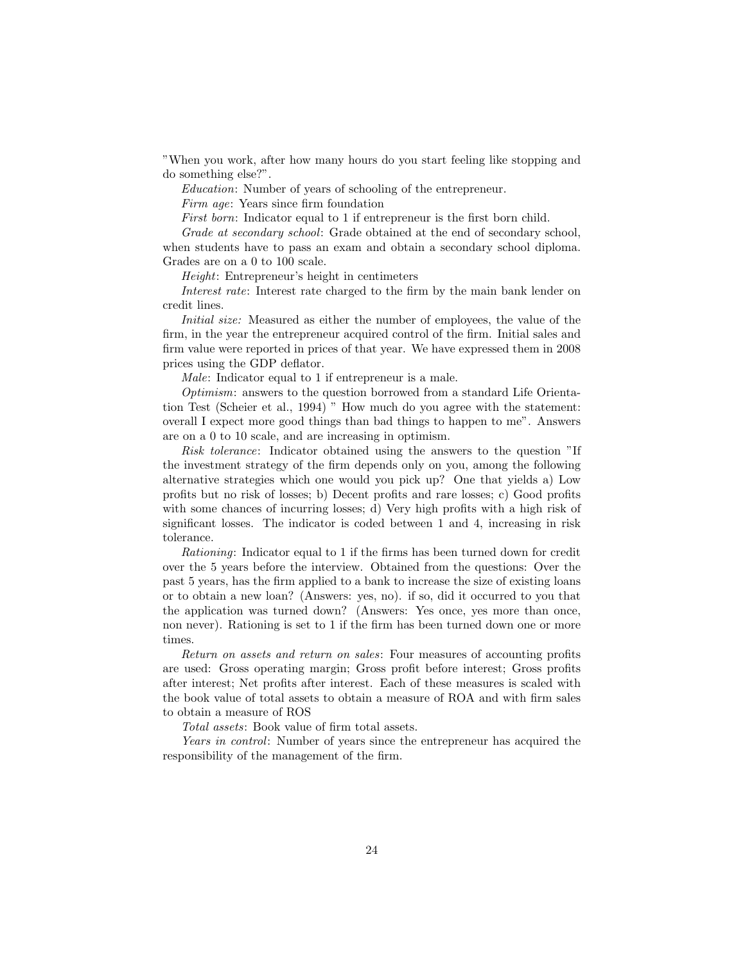"When you work, after how many hours do you start feeling like stopping and do something else?".

Education: Number of years of schooling of the entrepreneur.

Firm age: Years since firm foundation

First born: Indicator equal to 1 if entrepreneur is the first born child.

Grade at secondary school: Grade obtained at the end of secondary school, when students have to pass an exam and obtain a secondary school diploma. Grades are on a 0 to 100 scale.

Height: Entrepreneur's height in centimeters

Interest rate: Interest rate charged to the firm by the main bank lender on credit lines.

Initial size: Measured as either the number of employees, the value of the firm, in the year the entrepreneur acquired control of the firm. Initial sales and firm value were reported in prices of that year. We have expressed them in 2008 prices using the GDP deflator.

Male: Indicator equal to 1 if entrepreneur is a male.

Optimism: answers to the question borrowed from a standard Life Orientation Test (Scheier et al., 1994) " How much do you agree with the statement: overall I expect more good things than bad things to happen to me". Answers are on a 0 to 10 scale, and are increasing in optimism.

Risk tolerance: Indicator obtained using the answers to the question "If the investment strategy of the firm depends only on you, among the following alternative strategies which one would you pick up? One that yields a) Low profits but no risk of losses; b) Decent profits and rare losses; c) Good profits with some chances of incurring losses; d) Very high profits with a high risk of significant losses. The indicator is coded between 1 and 4, increasing in risk tolerance.

Rationing: Indicator equal to 1 if the firms has been turned down for credit over the 5 years before the interview. Obtained from the questions: Over the past 5 years, has the firm applied to a bank to increase the size of existing loans or to obtain a new loan? (Answers: yes, no). if so, did it occurred to you that the application was turned down? (Answers: Yes once, yes more than once, non never). Rationing is set to 1 if the firm has been turned down one or more times.

Return on assets and return on sales: Four measures of accounting profits are used: Gross operating margin; Gross profit before interest; Gross profits after interest; Net profits after interest. Each of these measures is scaled with the book value of total assets to obtain a measure of ROA and with firm sales to obtain a measure of ROS

Total assets: Book value of firm total assets.

Years in control: Number of years since the entrepreneur has acquired the responsibility of the management of the firm.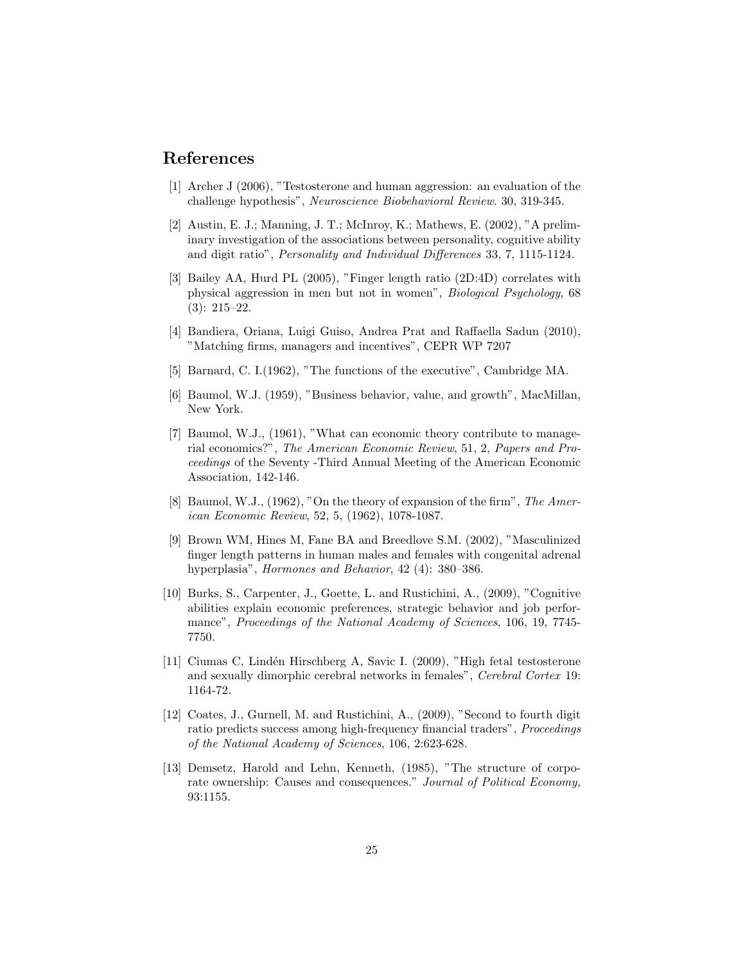### References

- [1] Archer J (2006), "Testosterone and human aggression: an evaluation of the challenge hypothesis", Neuroscience Biobehavioral Review. 30, 319-345.
- [2] Austin, E. J.; Manning, J. T.; McInroy, K.; Mathews, E. (2002), "A preliminary investigation of the associations between personality, cognitive ability and digit ratio", Personality and Individual Differences 33, 7, 1115-1124.
- [3] Bailey AA, Hurd PL (2005), "Finger length ratio (2D:4D) correlates with physical aggression in men but not in women", Biological Psychology, 68 (3): 215–22.
- [4] Bandiera, Oriana, Luigi Guiso, Andrea Prat and Raffaella Sadun (2010), "Matching firms, managers and incentives", CEPR WP 7207
- [5] Barnard, C. I.(1962), "The functions of the executive", Cambridge MA.
- [6] Baumol, W.J. (1959), "Business behavior, value, and growth", MacMillan, New York.
- [7] Baumol, W.J., (1961), "What can economic theory contribute to managerial economics?", The American Economic Review, 51, 2, Papers and Proceedings of the Seventy -Third Annual Meeting of the American Economic Association, 142-146.
- [8] Baumol, W.J., (1962), "On the theory of expansion of the firm", The American Economic Review, 52, 5, (1962), 1078-1087.
- [9] Brown WM, Hines M, Fane BA and Breedlove S.M. (2002), "Masculinized finger length patterns in human males and females with congenital adrenal hyperplasia", Hormones and Behavior, 42 (4): 380–386.
- [10] Burks, S., Carpenter, J., Goette, L. and Rustichini, A., (2009), "Cognitive abilities explain economic preferences, strategic behavior and job performance", Proceedings of the National Academy of Sciences, 106, 19, 7745-7750.
- [11] Ciumas C, Lind´en Hirschberg A, Savic I. (2009), "High fetal testosterone and sexually dimorphic cerebral networks in females", Cerebral Cortex 19: 1164-72.
- [12] Coates, J., Gurnell, M. and Rustichini, A., (2009), "Second to fourth digit ratio predicts success among high-frequency financial traders", Proceedings of the National Academy of Sciences, 106, 2:623-628.
- [13] Demsetz, Harold and Lehn, Kenneth, (1985), "The structure of corporate ownership: Causes and consequences." Journal of Political Economy, 93:1155.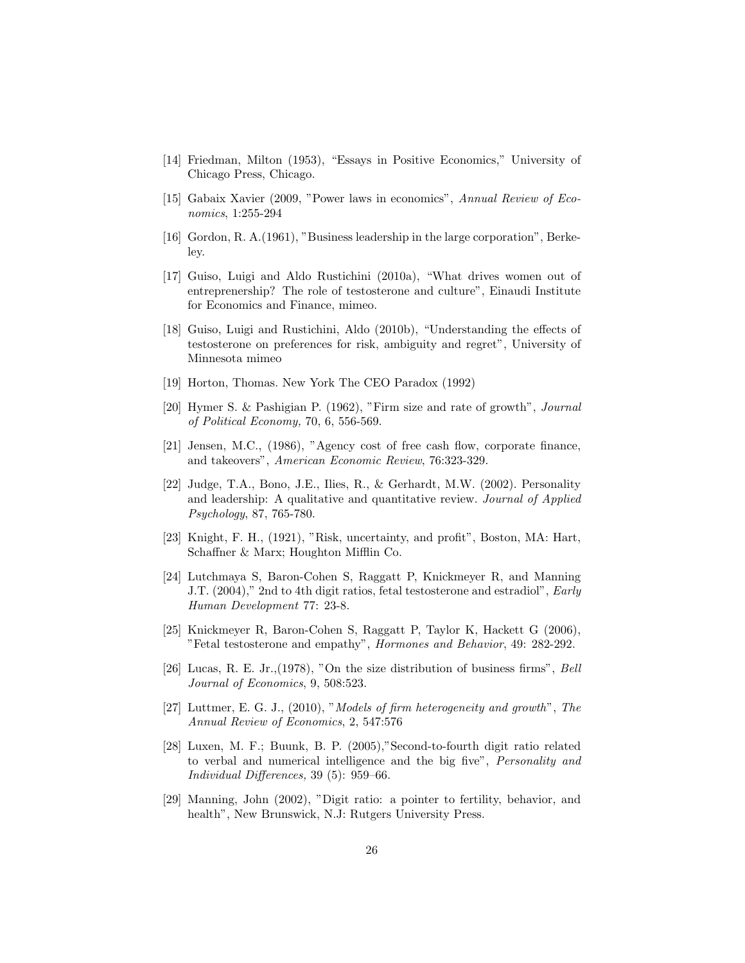- [14] Friedman, Milton (1953), "Essays in Positive Economics," University of Chicago Press, Chicago.
- [15] Gabaix Xavier (2009, "Power laws in economics", Annual Review of Economics, 1:255-294
- [16] Gordon, R. A.(1961), "Business leadership in the large corporation", Berkeley.
- [17] Guiso, Luigi and Aldo Rustichini (2010a), "What drives women out of entreprenership? The role of testosterone and culture", Einaudi Institute for Economics and Finance, mimeo.
- [18] Guiso, Luigi and Rustichini, Aldo (2010b), "Understanding the effects of testosterone on preferences for risk, ambiguity and regret", University of Minnesota mimeo
- [19] Horton, Thomas. New York The CEO Paradox (1992)
- [20] Hymer S. & Pashigian P. (1962), "Firm size and rate of growth", Journal of Political Economy, 70, 6, 556-569.
- [21] Jensen, M.C., (1986), "Agency cost of free cash flow, corporate finance, and takeovers", American Economic Review, 76:323-329.
- [22] Judge, T.A., Bono, J.E., Ilies, R., & Gerhardt, M.W. (2002). Personality and leadership: A qualitative and quantitative review. Journal of Applied Psychology, 87, 765-780.
- [23] Knight, F. H., (1921), "Risk, uncertainty, and profit", Boston, MA: Hart, Schaffner & Marx; Houghton Mifflin Co.
- [24] Lutchmaya S, Baron-Cohen S, Raggatt P, Knickmeyer R, and Manning J.T. (2004)," 2nd to 4th digit ratios, fetal testosterone and estradiol", Early Human Development 77: 23-8.
- [25] Knickmeyer R, Baron-Cohen S, Raggatt P, Taylor K, Hackett G (2006), "Fetal testosterone and empathy", Hormones and Behavior, 49: 282-292.
- [26] Lucas, R. E. Jr.,(1978), "On the size distribution of business firms", Bell Journal of Economics, 9, 508:523.
- [27] Luttmer, E. G. J., (2010), "Models of firm heterogeneity and growth", The Annual Review of Economics, 2, 547:576
- [28] Luxen, M. F.; Buunk, B. P. (2005),"Second-to-fourth digit ratio related to verbal and numerical intelligence and the big five", Personality and Individual Differences, 39 (5): 959–66.
- [29] Manning, John (2002), "Digit ratio: a pointer to fertility, behavior, and health", New Brunswick, N.J: Rutgers University Press.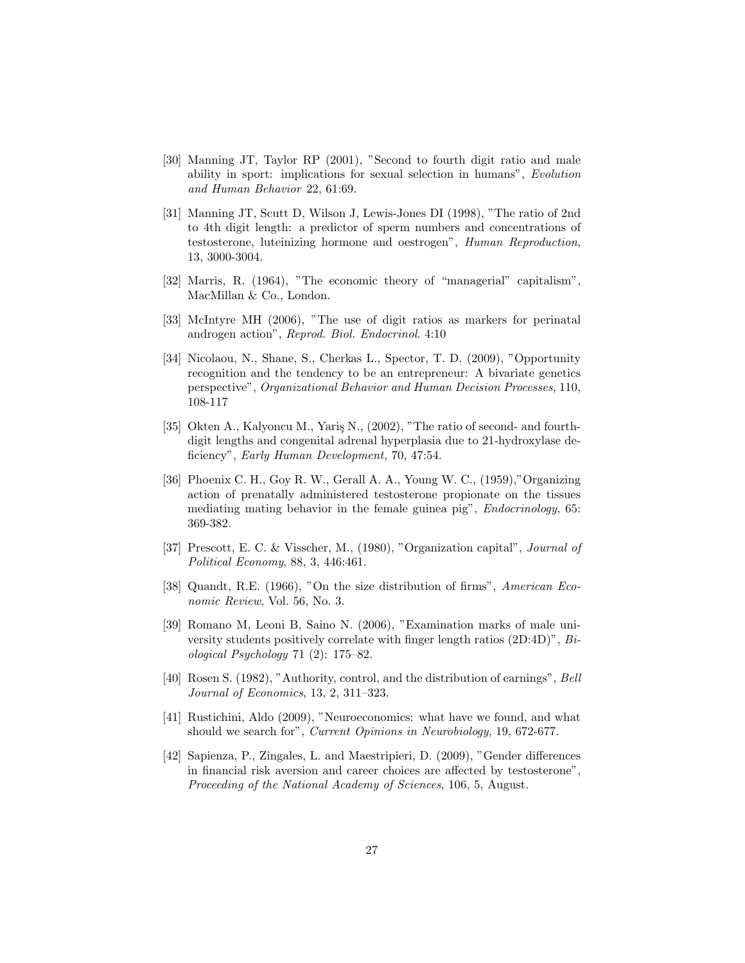- [30] Manning JT, Taylor RP (2001), "Second to fourth digit ratio and male ability in sport: implications for sexual selection in humans", Evolution and Human Behavior 22, 61:69.
- [31] Manning JT, Scutt D, Wilson J, Lewis-Jones DI (1998), "The ratio of 2nd to 4th digit length: a predictor of sperm numbers and concentrations of testosterone, luteinizing hormone and oestrogen", Human Reproduction, 13, 3000-3004.
- [32] Marris, R. (1964), "The economic theory of "managerial" capitalism", MacMillan & Co., London.
- [33] McIntyre MH (2006), "The use of digit ratios as markers for perinatal androgen action", Reprod. Biol. Endocrinol. 4:10
- [34] Nicolaou, N., Shane, S., Cherkas L., Spector, T. D. (2009), "Opportunity recognition and the tendency to be an entrepreneur: A bivariate genetics perspective", Organizational Behavior and Human Decision Processes, 110, 108-117
- [35] Okten A., Kalyoncu M., Yaris N.,  $(2002)$ , "The ratio of second- and fourthdigit lengths and congenital adrenal hyperplasia due to 21-hydroxylase deficiency", Early Human Development, 70, 47:54.
- [36] Phoenix C. H., Goy R. W., Gerall A. A., Young W. C., (1959),"Organizing action of prenatally administered testosterone propionate on the tissues mediating mating behavior in the female guinea pig", Endocrinology, 65: 369-382.
- [37] Prescott, E. C. & Visscher, M., (1980), "Organization capital", Journal of Political Economy, 88, 3, 446:461.
- [38] Quandt, R.E. (1966), "On the size distribution of firms", American Economic Review, Vol. 56, No. 3.
- [39] Romano M, Leoni B, Saino N. (2006), "Examination marks of male university students positively correlate with finger length ratios (2D:4D)", Biological Psychology 71 (2): 175–82.
- [40] Rosen S. (1982), "Authority, control, and the distribution of earnings", Bell Journal of Economics, 13, 2, 311–323.
- [41] Rustichini, Aldo (2009), "Neuroeconomics: what have we found, and what should we search for", Current Opinions in Neurobiology, 19, 672-677.
- [42] Sapienza, P., Zingales, L. and Maestripieri, D. (2009), "Gender differences in financial risk aversion and career choices are affected by testosterone", Proceeding of the National Academy of Sciences, 106, 5, August.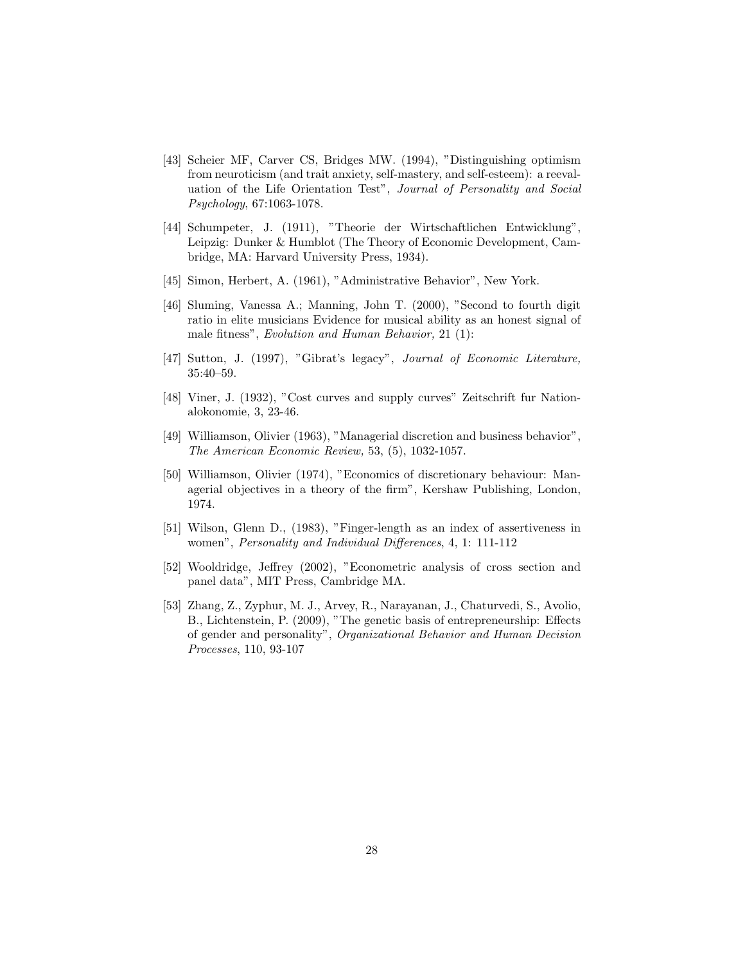- [43] Scheier MF, Carver CS, Bridges MW. (1994), "Distinguishing optimism from neuroticism (and trait anxiety, self-mastery, and self-esteem): a reevaluation of the Life Orientation Test", Journal of Personality and Social Psychology, 67:1063-1078.
- [44] Schumpeter, J. (1911), "Theorie der Wirtschaftlichen Entwicklung", Leipzig: Dunker & Humblot (The Theory of Economic Development, Cambridge, MA: Harvard University Press, 1934).
- [45] Simon, Herbert, A. (1961), "Administrative Behavior", New York.
- [46] Sluming, Vanessa A.; Manning, John T. (2000), "Second to fourth digit ratio in elite musicians Evidence for musical ability as an honest signal of male fitness", Evolution and Human Behavior, 21 (1):
- [47] Sutton, J. (1997), "Gibrat's legacy", Journal of Economic Literature, 35:40–59.
- [48] Viner, J. (1932), "Cost curves and supply curves" Zeitschrift fur Nationalokonomie, 3, 23-46.
- [49] Williamson, Olivier (1963), "Managerial discretion and business behavior", The American Economic Review, 53, (5), 1032-1057.
- [50] Williamson, Olivier (1974), "Economics of discretionary behaviour: Managerial objectives in a theory of the firm", Kershaw Publishing, London, 1974.
- [51] Wilson, Glenn D., (1983), "Finger-length as an index of assertiveness in women", Personality and Individual Differences, 4, 1: 111-112
- [52] Wooldridge, Jeffrey (2002), "Econometric analysis of cross section and panel data", MIT Press, Cambridge MA.
- [53] Zhang, Z., Zyphur, M. J., Arvey, R., Narayanan, J., Chaturvedi, S., Avolio, B., Lichtenstein, P. (2009), "The genetic basis of entrepreneurship: Effects of gender and personality", Organizational Behavior and Human Decision Processes, 110, 93-107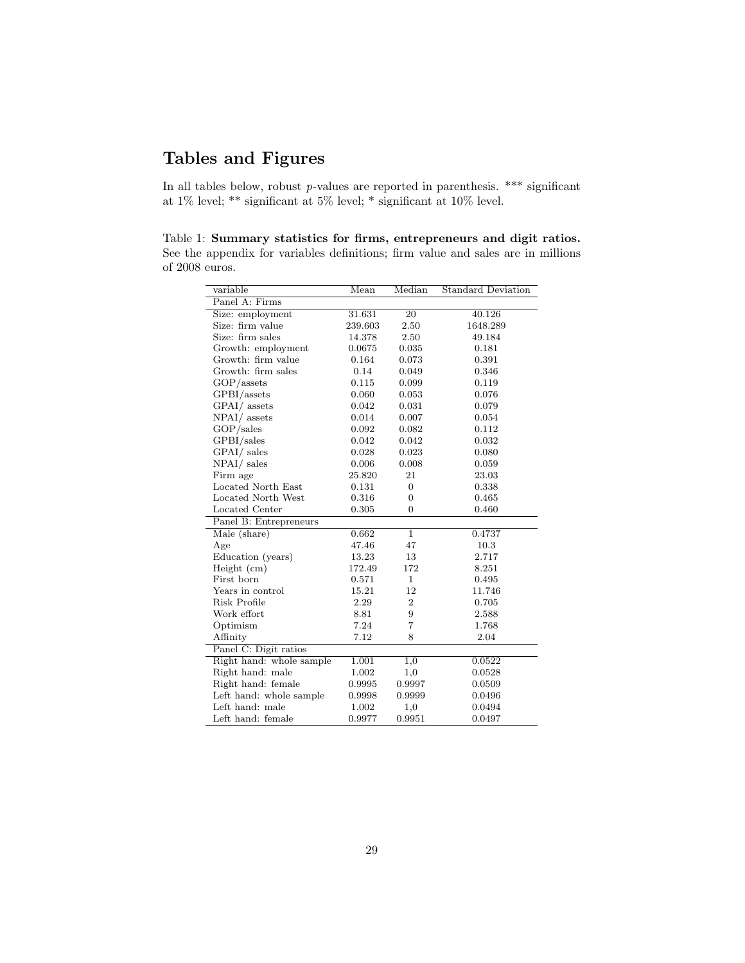## Tables and Figures

In all tables below, robust  $p$ -values are reported in parenthesis. \*\*\* significant at 1% level; \*\* significant at 5% level; \* significant at 10% level.

Table 1: Summary statistics for firms, entrepreneurs and digit ratios. See the appendix for variables definitions; firm value and sales are in millions of 2008 euros.

| variable                 | Mean    | Median         | <b>Standard Deviation</b> |
|--------------------------|---------|----------------|---------------------------|
| Panel A: Firms           |         |                |                           |
| Size: employment         | 31.631  | 20             | 40.126                    |
| Size: firm value         | 239.603 | 2.50           | 1648.289                  |
| Size: firm sales         | 14.378  | 2.50           | 49.184                    |
| Growth: employment       | 0.0675  | $\,0.035\,$    | 0.181                     |
| Growth: firm value       | 0.164   | 0.073          | 0.391                     |
| Growth: firm sales       | 0.14    | 0.049          | 0.346                     |
| $GOP/$ assets            | 0.115   | 0.099          | 0.119                     |
| GPBI/assets              | 0.060   | 0.053          | 0.076                     |
| GPAI/ assets             | 0.042   | 0.031          | 0.079                     |
| NPAI/ assets             | 0.014   | 0.007          | 0.054                     |
| GOP/sales                | 0.092   | 0.082          | 0.112                     |
| GPBI/sales               | 0.042   | 0.042          | 0.032                     |
| GPAI/ sales              | 0.028   | 0.023          | 0.080                     |
| NPAI/ sales              | 0.006   | 0.008          | 0.059                     |
| Firm age                 | 25.820  | 21             | 23.03                     |
| Located North East       | 0.131   | $\overline{0}$ | 0.338                     |
| Located North West       | 0.316   | $\overline{0}$ | 0.465                     |
| <b>Located Center</b>    | 0.305   | $\overline{0}$ | 0.460                     |
| Panel B: Entrepreneurs   |         |                |                           |
| Male (share)             | 0.662   | $\mathbf{1}$   | 0.4737                    |
| Age                      | 47.46   | 47             | 10.3                      |
| Education (years)        | 13.23   | 13             | 2.717                     |
| Height (cm)              | 172.49  | 172            | 8.251                     |
| First born               | 0.571   | $\mathbf{1}$   | 0.495                     |
| Years in control         | 15.21   | 12             | 11.746                    |
| Risk Profile             | 2.29    | $\overline{2}$ | 0.705                     |
| Work effort              | 8.81    | 9              | 2.588                     |
| Optimism                 | 7.24    | $\overline{7}$ | 1.768                     |
| Affinity                 | 7.12    | 8              | 2.04                      |
| Panel C: Digit ratios    |         |                |                           |
| Right hand: whole sample | 1.001   | 1,0            | 0.0522                    |
| Right hand: male         | 1.002   | 1,0            | 0.0528                    |
| Right hand: female       | 0.9995  | 0.9997         | 0.0509                    |
| Left hand: whole sample  | 0.9998  | 0.9999         | 0.0496                    |
| Left hand: male          | 1.002   | 1,0            | 0.0494                    |
| Left hand: female        | 0.9977  | 0.9951         | 0.0497                    |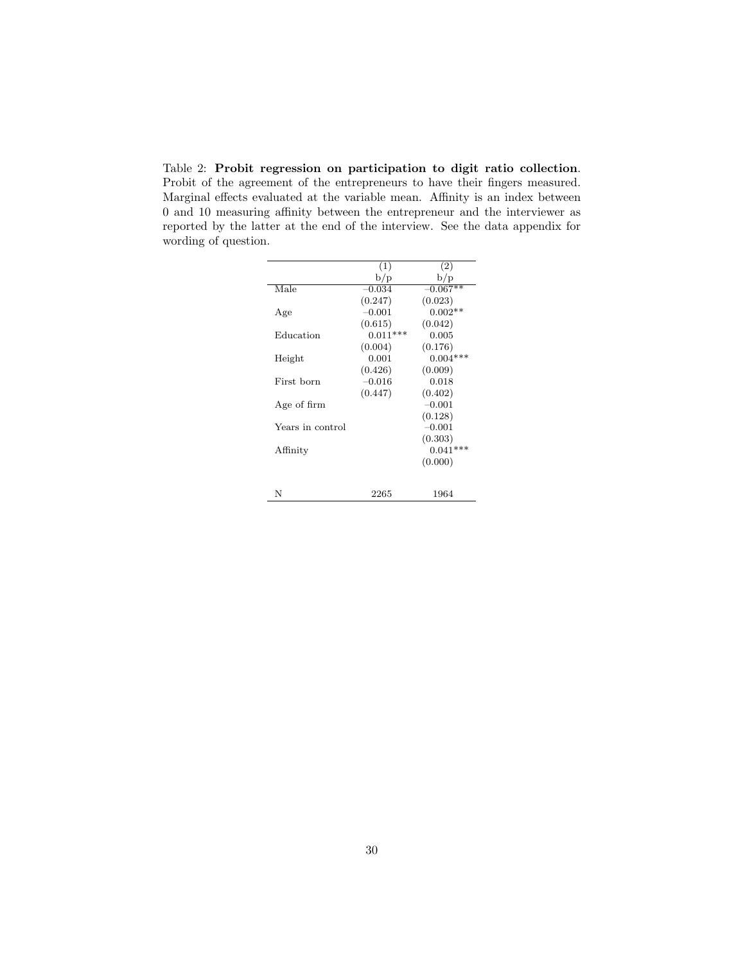Table 2: Probit regression on participation to digit ratio collection. Probit of the agreement of the entrepreneurs to have their fingers measured. Marginal effects evaluated at the variable mean. Affinity is an index between 0 and 10 measuring affinity between the entrepreneur and the interviewer as reported by the latter at the end of the interview. See the data appendix for wording of question.

| (1)<br>(2)                       |  |
|----------------------------------|--|
| b/p<br>b/p                       |  |
| $-0.067**$<br>Male<br>$-0.034$   |  |
| (0.247)<br>(0.023)               |  |
| $0.002**$<br>$-0.001$<br>Age     |  |
| (0.615)<br>(0.042)               |  |
| $0.011***$<br>Education<br>0.005 |  |
| (0.176)<br>(0.004)               |  |
| $0.004***$<br>0.001<br>Height    |  |
| (0.426)<br>(0.009)               |  |
| $-0.016$<br>0.018<br>First born  |  |
| (0.447)<br>(0.402)               |  |
| $-0.001$<br>Age of firm          |  |
| (0.128)                          |  |
| $-0.001$<br>Years in control     |  |
| (0.303)                          |  |
| $0.041***$<br>Affinity           |  |
| (0.000)                          |  |
|                                  |  |
|                                  |  |
| N<br>2265<br>1964                |  |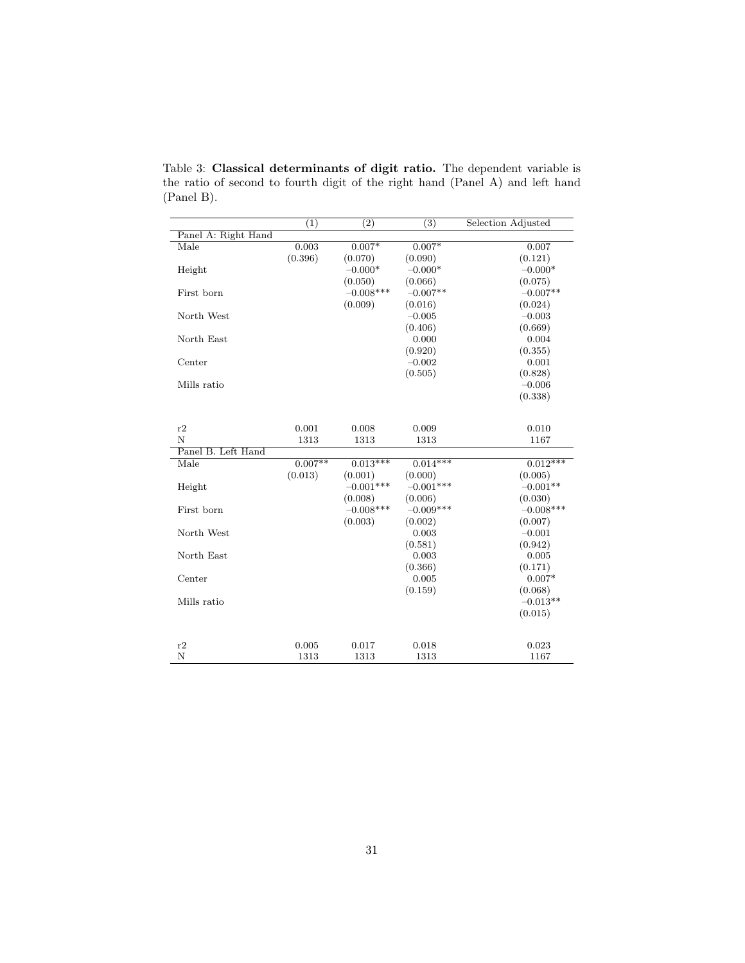Table 3: Classical determinants of digit ratio. The dependent variable is the ratio of second to fourth digit of the right hand (Panel A) and left hand (Panel B).

|                     | $\overline{(1)}$ | $\overline{(2)}$       | $\overline{(3)}$       | Selection Adjusted |
|---------------------|------------------|------------------------|------------------------|--------------------|
| Panel A: Right Hand |                  |                        |                        |                    |
| Male                | 0.003            | $0.007*$               | $0.007*$               | 0.007              |
|                     | (0.396)          | (0.070)                | (0.090)                | (0.121)            |
| Height              |                  | $-0.000*$              | $-0.000*$              | $-0.000*$          |
|                     |                  | (0.050)                | (0.066)                | (0.075)            |
| First born          |                  | $-0.008***$            | $-0.007**$             | $-0.007**$         |
|                     |                  | (0.009)                | (0.016)                | (0.024)            |
| North West          |                  |                        | $-0.005$               | $-0.003$           |
|                     |                  |                        | (0.406)                | (0.669)            |
| North East          |                  |                        | 0.000                  | 0.004              |
|                     |                  |                        | (0.920)                | (0.355)            |
| Center              |                  |                        | $-0.002$               | 0.001              |
|                     |                  |                        | (0.505)                | (0.828)            |
| Mills ratio         |                  |                        |                        | $-0.006$           |
|                     |                  |                        |                        | (0.338)            |
|                     |                  |                        |                        |                    |
| r2<br>N             | 0.001            | 0.008                  | 0.009                  | 0.010              |
| Panel B. Left Hand  | 1313             | 1313                   | 1313                   | 1167               |
| Male                | $0.007**$        | $0.013***$             | $0.014***$             | $0.012***$         |
|                     |                  |                        |                        |                    |
|                     | (0.013)          | (0.001)<br>$-0.001***$ | (0.000)<br>$-0.001***$ | (0.005)            |
| Height              |                  |                        |                        | $-0.001**$         |
| First born          |                  | (0.008)<br>$-0.008***$ | (0.006)<br>$-0.009***$ | (0.030)            |
|                     |                  |                        |                        | $-0.008***$        |
|                     |                  | (0.003)                | (0.002)                | (0.007)            |
| North West          |                  |                        | 0.003                  | $-0.001$           |
|                     |                  |                        | (0.581)                | (0.942)            |
| North East          |                  |                        | 0.003                  | 0.005              |
|                     |                  |                        | (0.366)                | (0.171)            |
| Center              |                  |                        | 0.005                  | $0.007*$           |
|                     |                  |                        | (0.159)                | (0.068)            |
| Mills ratio         |                  |                        |                        | $-0.013**$         |
|                     |                  |                        |                        | (0.015)            |
| r2                  | 0.005            | 0.017                  | 0.018                  | 0.023              |
| $\mathbf N$         | 1313             | 1313                   | 1313                   | 1167               |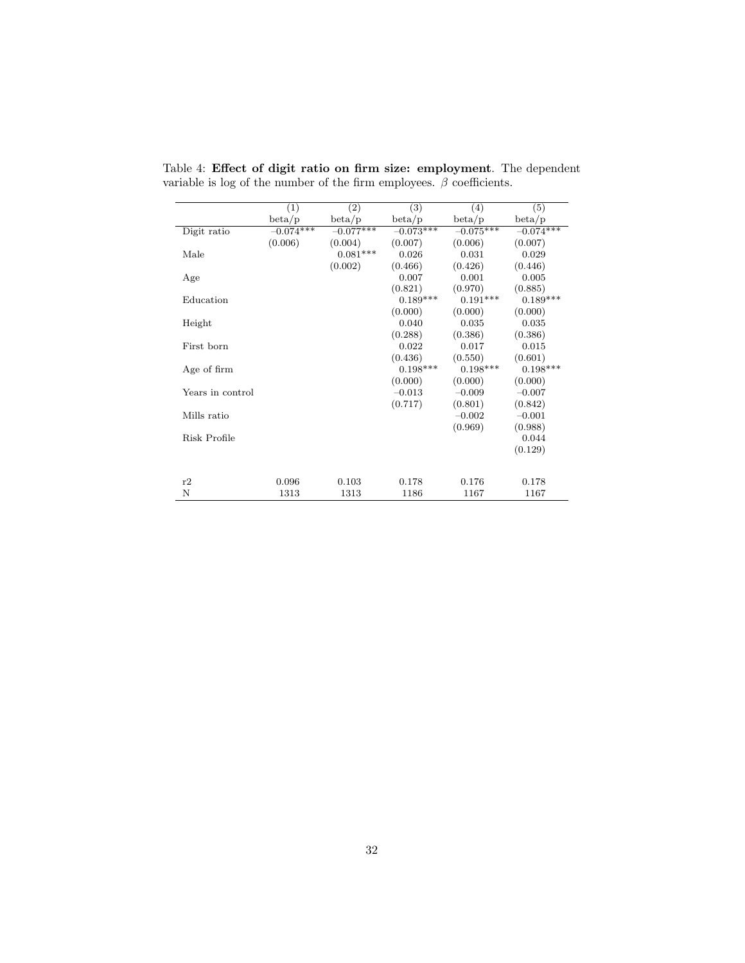|                  | (1)         | (2)         | (3)         | (4)         | (5)         |
|------------------|-------------|-------------|-------------|-------------|-------------|
|                  | beta/p      | beta/p      | beta/p      | beta/p      | beta/p      |
| Digit ratio      | $-0.074***$ | $-0.077***$ | $-0.073***$ | $-0.075***$ | $-0.074***$ |
|                  | (0.006)     | (0.004)     | (0.007)     | (0.006)     | (0.007)     |
| Male             |             | $0.081***$  | 0.026       | 0.031       | 0.029       |
|                  |             | (0.002)     | (0.466)     | (0.426)     | (0.446)     |
| Age              |             |             | 0.007       | 0.001       | 0.005       |
|                  |             |             | (0.821)     | (0.970)     | (0.885)     |
| Education        |             |             | $0.189***$  | $0.191***$  | $0.189***$  |
|                  |             |             | (0.000)     | (0.000)     | (0.000)     |
| Height           |             |             | 0.040       | 0.035       | 0.035       |
|                  |             |             | (0.288)     | (0.386)     | (0.386)     |
| First born       |             |             | 0.022       | 0.017       | 0.015       |
|                  |             |             | (0.436)     | (0.550)     | (0.601)     |
| Age of firm      |             |             | $0.198***$  | $0.198***$  | $0.198***$  |
|                  |             |             | (0.000)     | (0.000)     | (0.000)     |
| Years in control |             |             | $-0.013$    | $-0.009$    | $-0.007$    |
|                  |             |             | (0.717)     | (0.801)     | (0.842)     |
| Mills ratio      |             |             |             | $-0.002$    | $-0.001$    |
|                  |             |             |             | (0.969)     | (0.988)     |
| Risk Profile     |             |             |             |             | 0.044       |
|                  |             |             |             |             | (0.129)     |
|                  |             |             |             |             |             |
| r2               | 0.096       | 0.103       | 0.178       | 0.176       | 0.178       |
| N                | 1313        | 1313        | 1186        | 1167        | 1167        |
|                  |             |             |             |             |             |

Table 4: Effect of digit ratio on firm size: employment. The dependent variable is log of the number of the firm employees.  $\beta$  coefficients.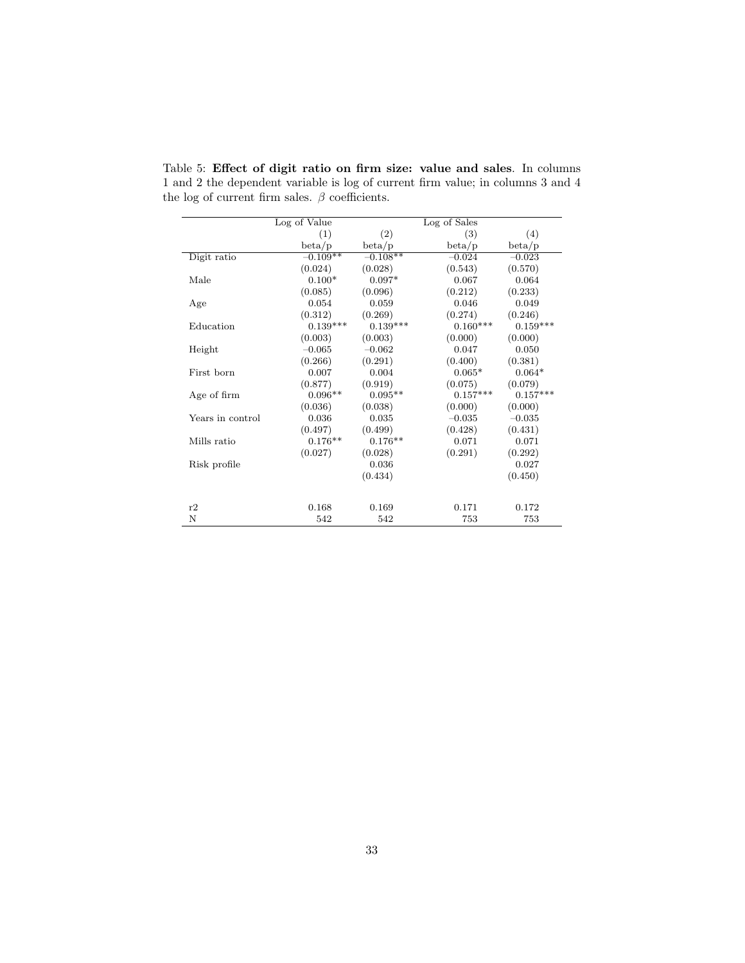|                  | Log of Value |            | Log of Sales |            |
|------------------|--------------|------------|--------------|------------|
|                  | (1)          | (2)        | (3)          | (4)        |
|                  | beta/p       | beta/p     | beta/p       | beta/p     |
| Digit ratio      | $-0.109**$   | $-0.108**$ | $-0.024$     | $-0.023$   |
|                  | (0.024)      | (0.028)    | (0.543)      | (0.570)    |
| Male             | $0.100*$     | $0.097*$   | 0.067        | 0.064      |
|                  | (0.085)      | (0.096)    | (0.212)      | (0.233)    |
| Age              | 0.054        | 0.059      | 0.046        | 0.049      |
|                  | (0.312)      | (0.269)    | (0.274)      | (0.246)    |
| Education        | $0.139***$   | $0.139***$ | $0.160***$   | $0.159***$ |
|                  | (0.003)      | (0.003)    | (0.000)      | (0.000)    |
| Height           | $-0.065$     | $-0.062$   | 0.047        | 0.050      |
|                  | (0.266)      | (0.291)    | (0.400)      | (0.381)    |
| First born       | 0.007        | 0.004      | $0.065*$     | $0.064*$   |
|                  | (0.877)      | (0.919)    | (0.075)      | (0.079)    |
| Age of firm      | $0.096**$    | $0.095**$  | $0.157***$   | $0.157***$ |
|                  | (0.036)      | (0.038)    | (0.000)      | (0.000)    |
| Years in control | 0.036        | 0.035      | $-0.035$     | $-0.035$   |
|                  | (0.497)      | (0.499)    | (0.428)      | (0.431)    |
| Mills ratio      | $0.176**$    | $0.176**$  | 0.071        | 0.071      |
|                  | (0.027)      | (0.028)    | (0.291)      | (0.292)    |
| Risk profile     |              | 0.036      |              | 0.027      |
|                  |              | (0.434)    |              | (0.450)    |
|                  |              |            |              |            |
| r2               | 0.168        | 0.169      | 0.171        | 0.172      |
| N                | 542          | 542        | 753          | 753        |

Table 5: Effect of digit ratio on firm size: value and sales. In columns 1 and 2 the dependent variable is log of current firm value; in columns 3 and 4 the log of current firm sales.  $\beta$  coefficients.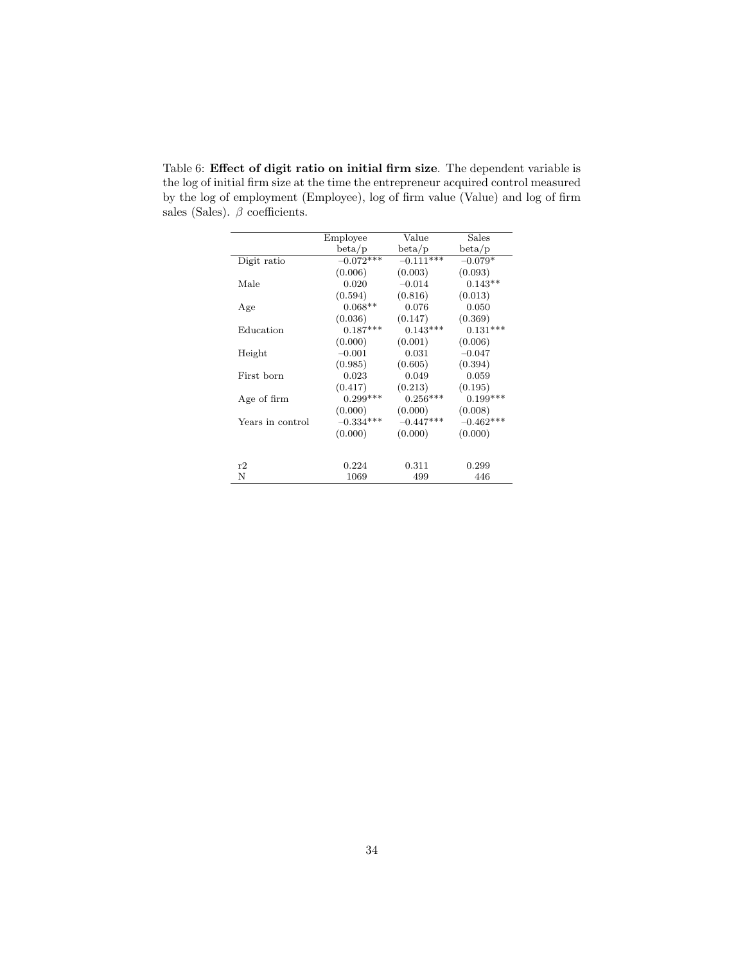Table 6: Effect of digit ratio on initial firm size. The dependent variable is the log of initial firm size at the time the entrepreneur acquired control measured by the log of employment (Employee), log of firm value (Value) and log of firm sales (Sales). $\beta$  coefficients.

|                  | Employee    | Value       | Sales       |
|------------------|-------------|-------------|-------------|
|                  | beta/p      | beta/p      | beta/p      |
| Digit ratio      | $-0.072***$ | $-0.111***$ | $-0.079*$   |
|                  | (0.006)     | (0.003)     | (0.093)     |
| Male             | 0.020       | $-0.014$    | $0.143**$   |
|                  | (0.594)     | (0.816)     | (0.013)     |
| Age              | $0.068**$   | 0.076       | 0.050       |
|                  | (0.036)     | (0.147)     | (0.369)     |
| Education        | $0.187***$  | $0.143***$  | $0.131***$  |
|                  | (0.000)     | (0.001)     | (0.006)     |
| Height           | $-0.001$    | 0.031       | $-0.047$    |
|                  | (0.985)     | (0.605)     | (0.394)     |
| First born       | 0.023       | 0.049       | 0.059       |
|                  | (0.417)     | (0.213)     | (0.195)     |
| Age of firm      | $0.299***$  | $0.256***$  | $0.199***$  |
|                  | (0.000)     | (0.000)     | (0.008)     |
| Years in control | $-0.334***$ | $-0.447***$ | $-0.462***$ |
|                  | (0.000)     | (0.000)     | (0.000)     |
|                  |             |             |             |
| r2               | 0.224       | 0.311       | 0.299       |
| Ν                | 1069        | 499         | 446         |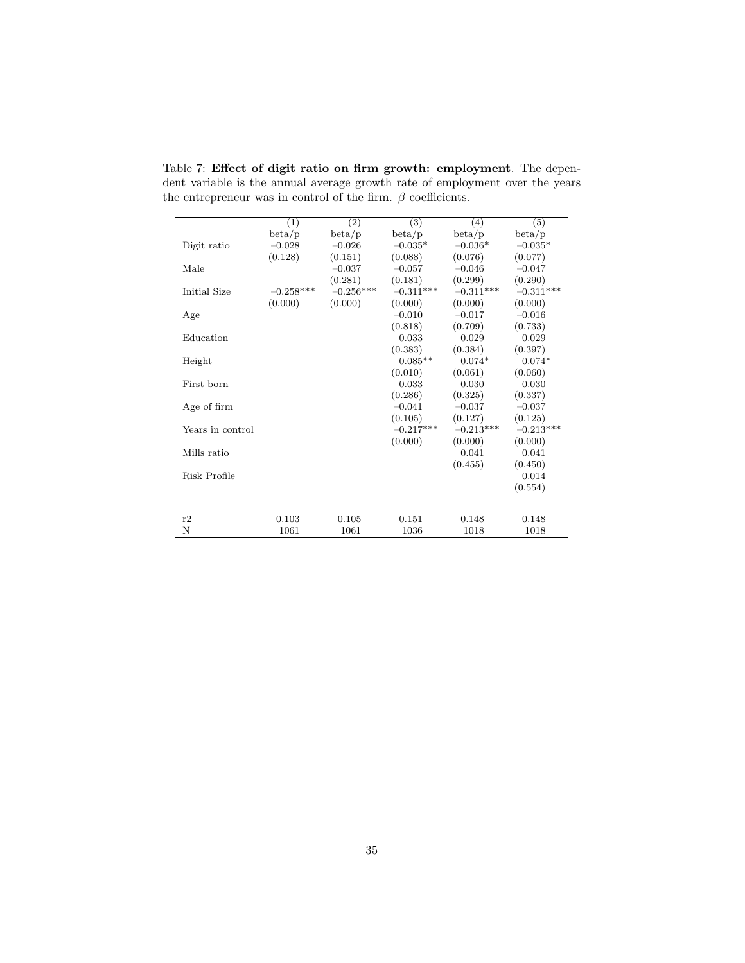|                  | (1)         | (2)         | (3)         | (4)         | (5)         |
|------------------|-------------|-------------|-------------|-------------|-------------|
|                  | beta/p      | beta/p      | beta/p      | beta/p      | beta/p      |
| Digit ratio      | $-0.028$    | $-0.026$    | $-0.035*$   | $-0.036*$   | $-0.035*$   |
|                  | (0.128)     | (0.151)     | (0.088)     | (0.076)     | (0.077)     |
| Male             |             | $-0.037$    | $-0.057$    | $-0.046$    | $-0.047$    |
|                  |             | (0.281)     | (0.181)     | (0.299)     | (0.290)     |
| Initial Size     | $-0.258***$ | $-0.256***$ | $-0.311***$ | $-0.311***$ | $-0.311***$ |
|                  | (0.000)     | (0.000)     | (0.000)     | (0.000)     | (0.000)     |
| Age              |             |             | $-0.010$    | $-0.017$    | $-0.016$    |
|                  |             |             | (0.818)     | (0.709)     | (0.733)     |
| Education        |             |             | 0.033       | 0.029       | 0.029       |
|                  |             |             | (0.383)     | (0.384)     | (0.397)     |
| Height           |             |             | $0.085**$   | $0.074*$    | $0.074*$    |
|                  |             |             | (0.010)     | (0.061)     | (0.060)     |
| First born       |             |             | 0.033       | 0.030       | 0.030       |
|                  |             |             | (0.286)     | (0.325)     | (0.337)     |
| Age of firm      |             |             | $-0.041$    | $-0.037$    | $-0.037$    |
|                  |             |             | (0.105)     | (0.127)     | (0.125)     |
| Years in control |             |             | $-0.217***$ | $-0.213***$ | $-0.213***$ |
|                  |             |             | (0.000)     | (0.000)     | (0.000)     |
| Mills ratio      |             |             |             | 0.041       | 0.041       |
|                  |             |             |             | (0.455)     | (0.450)     |
| Risk Profile     |             |             |             |             | 0.014       |
|                  |             |             |             |             | (0.554)     |
|                  |             |             |             |             |             |
|                  |             |             |             |             |             |
| N                | 1061        | 1061        | 1036        | 1018        | 1018        |
| r2               | 0.103       | 0.105       | 0.151       | 0.148       | 0.148       |

Table 7: Effect of digit ratio on firm growth: employment. The dependent variable is the annual average growth rate of employment over the years the entrepreneur was in control of the firm.  $\beta$  coefficients.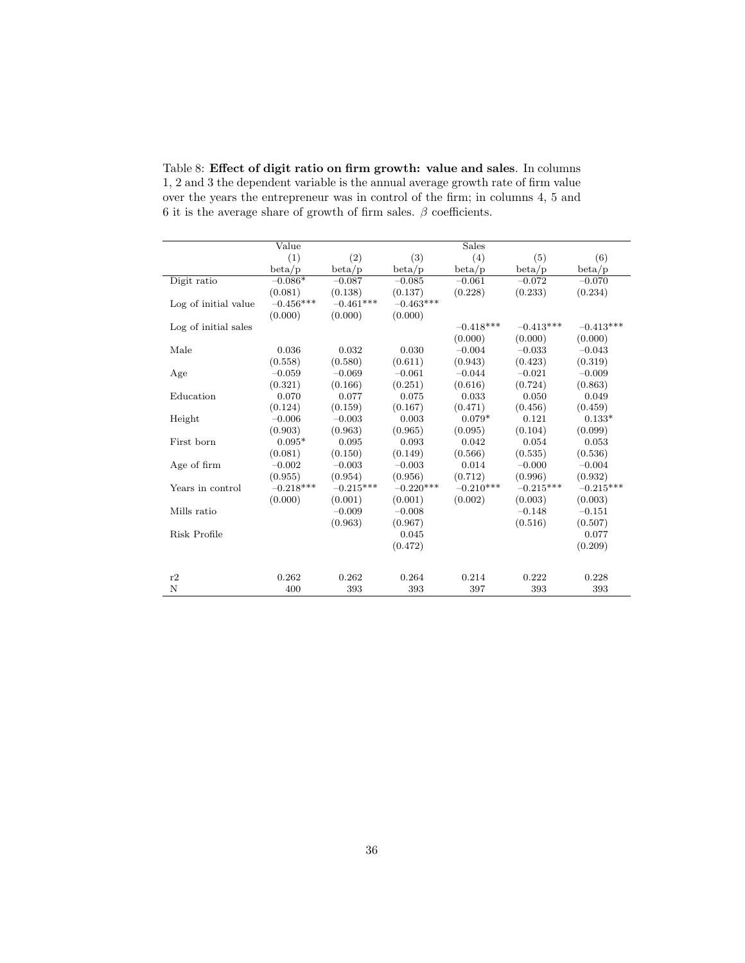Table 8: Effect of digit ratio on firm growth: value and sales. In columns 1, 2 and 3 the dependent variable is the annual average growth rate of firm value over the years the entrepreneur was in control of the firm; in columns 4, 5 and  $6$  it is the average share of growth of firm sales.  $\beta$  coefficients.

|                      | Value       |             |             | Sales       |             |             |
|----------------------|-------------|-------------|-------------|-------------|-------------|-------------|
|                      | (1)         | (2)         | (3)         | (4)         | (5)         | (6)         |
|                      | beta/p      | beta/p      | beta/p      | beta/p      | beta/p      | beta/p      |
| Digit ratio          | $-0.086*$   | $-0.087$    | $-0.085$    | $-0.061$    | $-0.072$    | $-0.070$    |
|                      | (0.081)     | (0.138)     | (0.137)     | (0.228)     | (0.233)     | (0.234)     |
| Log of initial value | $-0.456***$ | $-0.461***$ | $-0.463***$ |             |             |             |
|                      | (0.000)     | (0.000)     | (0.000)     |             |             |             |
| Log of initial sales |             |             |             | $-0.418***$ | $-0.413***$ | $-0.413***$ |
|                      |             |             |             | (0.000)     | (0.000)     | (0.000)     |
| Male                 | 0.036       | 0.032       | 0.030       | $-0.004$    | $-0.033$    | $-0.043$    |
|                      | (0.558)     | (0.580)     | (0.611)     | (0.943)     | (0.423)     | (0.319)     |
| Age                  | $-0.059$    | $-0.069$    | $-0.061$    | $-0.044$    | $-0.021$    | $-0.009$    |
|                      | (0.321)     | (0.166)     | (0.251)     | (0.616)     | (0.724)     | (0.863)     |
| Education            | 0.070       | 0.077       | 0.075       | 0.033       | 0.050       | 0.049       |
|                      | (0.124)     | (0.159)     | (0.167)     | (0.471)     | (0.456)     | (0.459)     |
| Height               | $-0.006$    | $-0.003$    | 0.003       | $0.079*$    | 0.121       | $0.133*$    |
|                      | (0.903)     | (0.963)     | (0.965)     | (0.095)     | (0.104)     | (0.099)     |
| First born           | $0.095*$    | 0.095       | 0.093       | 0.042       | 0.054       | 0.053       |
|                      | (0.081)     | (0.150)     | (0.149)     | (0.566)     | (0.535)     | (0.536)     |
| Age of firm          | $-0.002$    | $-0.003$    | $-0.003$    | 0.014       | $-0.000$    | $-0.004$    |
|                      | (0.955)     | (0.954)     | (0.956)     | (0.712)     | (0.996)     | (0.932)     |
| Years in control     | $-0.218***$ | $-0.215***$ | $-0.220***$ | $-0.210***$ | $-0.215***$ | $-0.215***$ |
|                      | (0.000)     | (0.001)     | (0.001)     | (0.002)     | (0.003)     | (0.003)     |
| Mills ratio          |             | $-0.009$    | $-0.008$    |             | $-0.148$    | $-0.151$    |
|                      |             | (0.963)     | (0.967)     |             | (0.516)     | (0.507)     |
| Risk Profile         |             |             | 0.045       |             |             | 0.077       |
|                      |             |             | (0.472)     |             |             | (0.209)     |
|                      |             |             |             |             |             |             |
| r2                   | 0.262       | 0.262       | 0.264       | 0.214       | 0.222       | 0.228       |
| $\mathbf N$          | 400         | 393         | 393         | 397         | 393         | 393         |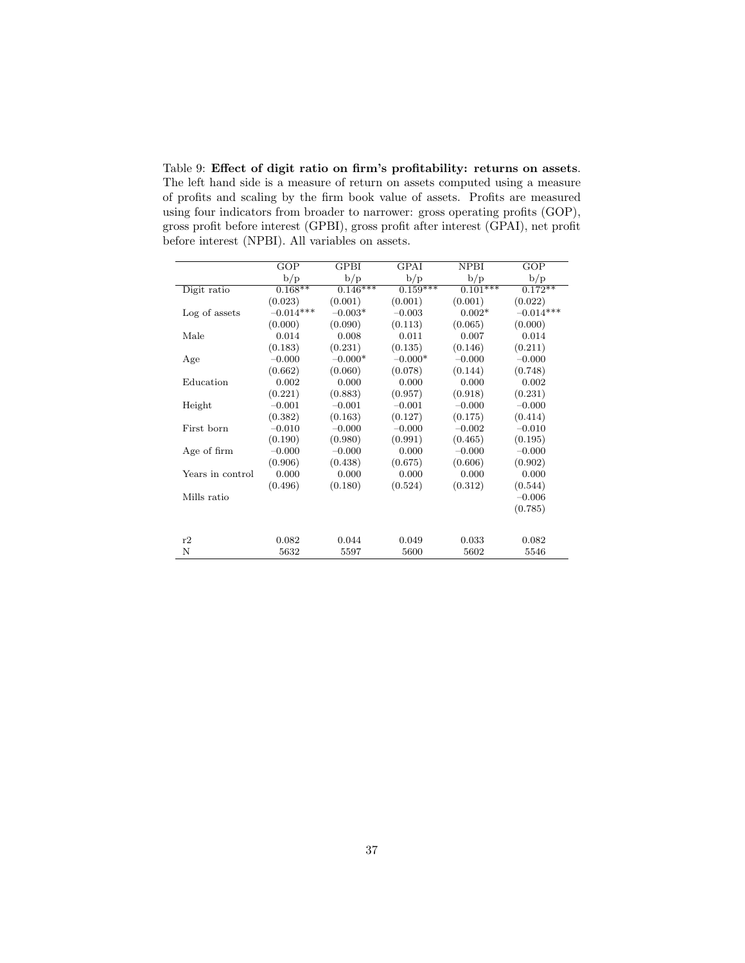Table 9: Effect of digit ratio on firm's profitability: returns on assets. The left hand side is a measure of return on assets computed using a measure of profits and scaling by the firm book value of assets. Profits are measured using four indicators from broader to narrower: gross operating profits (GOP), gross profit before interest (GPBI), gross profit after interest (GPAI), net profit before interest (NPBI). All variables on assets.

|                  | GOP         | <b>GPBI</b> | <b>GPAI</b> | <b>NPBI</b> | GOP                  |
|------------------|-------------|-------------|-------------|-------------|----------------------|
|                  | b/p         | b/p         | b/p         | b/p         | b/p                  |
| Digit ratio      | $0.168**$   | $0.146***$  | $0.159***$  | $0.101***$  | $0.\overline{172**}$ |
|                  | (0.023)     | (0.001)     | (0.001)     | (0.001)     | (0.022)              |
| Log of assets    | $-0.014***$ | $-0.003*$   | $-0.003$    | $0.002*$    | $-0.014***$          |
|                  | (0.000)     | (0.090)     | (0.113)     | (0.065)     | (0.000)              |
| Male             | 0.014       | 0.008       | 0.011       | 0.007       | 0.014                |
|                  | (0.183)     | (0.231)     | (0.135)     | (0.146)     | (0.211)              |
| Age              | $-0.000$    | $-0.000*$   | $-0.000*$   | $-0.000$    | $-0.000$             |
|                  | (0.662)     | (0.060)     | (0.078)     | (0.144)     | (0.748)              |
| Education        | 0.002       | 0.000       | 0.000       | 0.000       | 0.002                |
|                  | (0.221)     | (0.883)     | (0.957)     | (0.918)     | (0.231)              |
| Height           | $-0.001$    | $-0.001$    | $-0.001$    | $-0.000$    | $-0.000$             |
|                  | (0.382)     | (0.163)     | (0.127)     | (0.175)     | (0.414)              |
| First born       | $-0.010$    | $-0.000$    | $-0.000$    | $-0.002$    | $-0.010$             |
|                  | (0.190)     | (0.980)     | (0.991)     | (0.465)     | (0.195)              |
| Age of firm      | $-0.000$    | $-0.000$    | 0.000       | $-0.000$    | $-0.000$             |
|                  | (0.906)     | (0.438)     | (0.675)     | (0.606)     | (0.902)              |
| Years in control | 0.000       | 0.000       | 0.000       | 0.000       | 0.000                |
|                  | (0.496)     | (0.180)     | (0.524)     | (0.312)     | (0.544)              |
| Mills ratio      |             |             |             |             | $-0.006$             |
|                  |             |             |             |             | (0.785)              |
|                  |             |             |             |             |                      |
| r2               | 0.082       | 0.044       | 0.049       | 0.033       | 0.082                |
| N                | 5632        | 5597        | 5600        | 5602        | 5546                 |
|                  |             |             |             |             |                      |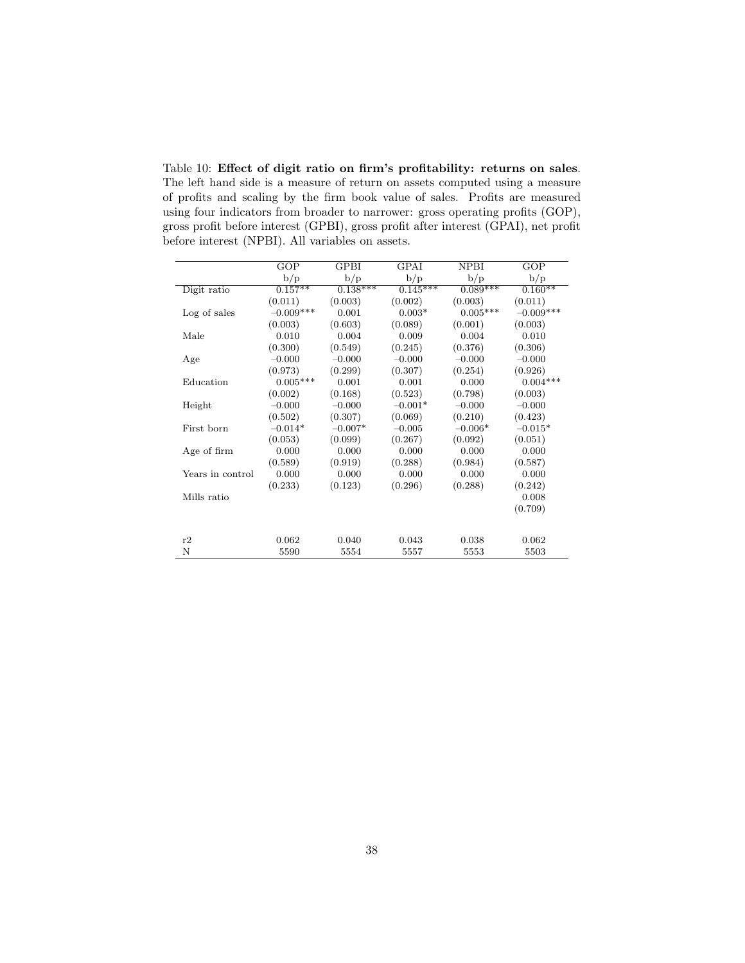Table 10: Effect of digit ratio on firm's profitability: returns on sales. The left hand side is a measure of return on assets computed using a measure of profits and scaling by the firm book value of sales. Profits are measured using four indicators from broader to narrower: gross operating profits (GOP), gross profit before interest (GPBI), gross profit after interest (GPAI), net profit before interest (NPBI). All variables on assets.

|                                 | GOP         | <b>GPBI</b> | GPAI       | <b>NPBI</b> | GOP         |
|---------------------------------|-------------|-------------|------------|-------------|-------------|
|                                 | b/p         | b/p         | b/p        | b/p         | b/p         |
| $\overline{\text{Digit}}$ ratio | $0.157**$   | $0.138***$  | $0.145***$ | $0.089***$  | $0.160**$   |
|                                 | (0.011)     | (0.003)     | (0.002)    | (0.003)     | (0.011)     |
| Log of sales                    | $-0.009***$ | 0.001       | $0.003*$   | $0.005***$  | $-0.009***$ |
|                                 | (0.003)     | (0.603)     | (0.089)    | (0.001)     | (0.003)     |
| Male                            | 0.010       | 0.004       | 0.009      | 0.004       | 0.010       |
|                                 | (0.300)     | (0.549)     | (0.245)    | (0.376)     | (0.306)     |
| Age                             | $-0.000$    | $-0.000$    | $-0.000$   | $-0.000$    | $-0.000$    |
|                                 | (0.973)     | (0.299)     | (0.307)    | (0.254)     | (0.926)     |
| Education                       | $0.005***$  | 0.001       | 0.001      | 0.000       | $0.004***$  |
|                                 | (0.002)     | (0.168)     | (0.523)    | (0.798)     | (0.003)     |
| Height                          | $-0.000$    | $-0.000$    | $-0.001*$  | $-0.000$    | $-0.000$    |
|                                 | (0.502)     | (0.307)     | (0.069)    | (0.210)     | (0.423)     |
| First born                      | $-0.014*$   | $-0.007*$   | $-0.005$   | $-0.006*$   | $-0.015*$   |
|                                 | (0.053)     | (0.099)     | (0.267)    | (0.092)     | (0.051)     |
| Age of firm                     | 0.000       | 0.000       | 0.000      | 0.000       | 0.000       |
|                                 | (0.589)     | (0.919)     | (0.288)    | (0.984)     | (0.587)     |
| Years in control                | 0.000       | 0.000       | 0.000      | 0.000       | 0.000       |
|                                 | (0.233)     | (0.123)     | (0.296)    | (0.288)     | (0.242)     |
| Mills ratio                     |             |             |            |             | 0.008       |
|                                 |             |             |            |             | (0.709)     |
|                                 |             |             |            |             |             |
| r2                              | 0.062       | 0.040       | 0.043      | 0.038       | 0.062       |
| N                               | 5590        | 5554        | 5557       | 5553        | 5503        |
|                                 |             |             |            |             |             |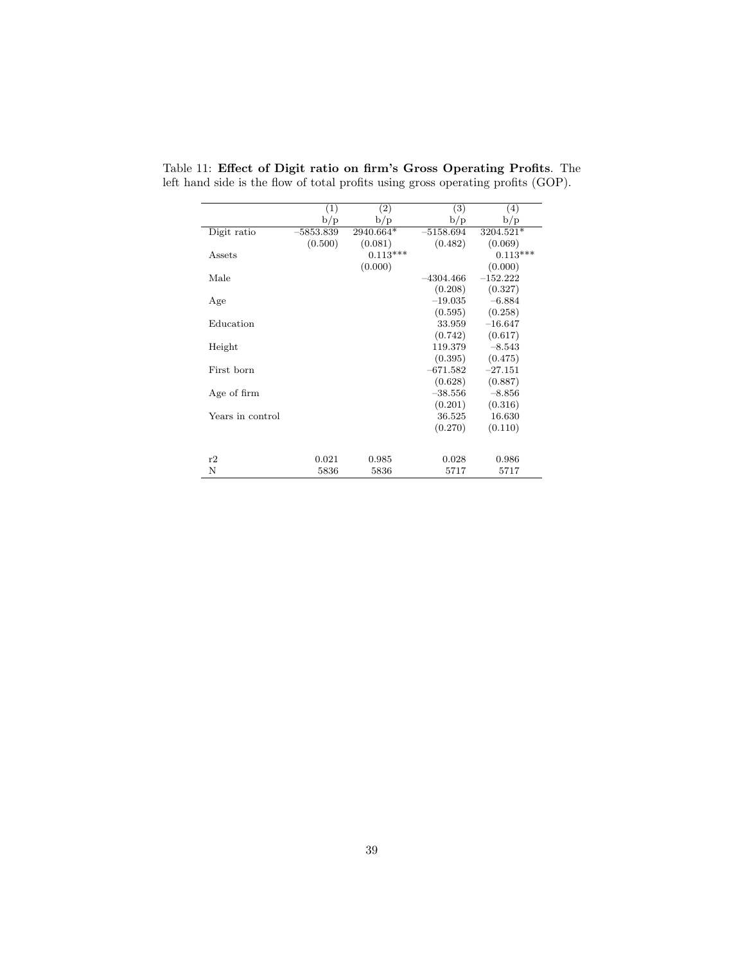|                  | (1)         | (2)        | (3)         | (4)        |
|------------------|-------------|------------|-------------|------------|
|                  | b/p         | b/p        | b/p         | b/p        |
| Digit ratio      | $-5853.839$ | 2940.664*  | $-5158.694$ | 3204.521*  |
|                  | (0.500)     | (0.081)    | (0.482)     | (0.069)    |
| Assets           |             | $0.113***$ |             | $0.113***$ |
|                  |             | (0.000)    |             | (0.000)    |
| Male             |             |            | $-4304.466$ | $-152.222$ |
|                  |             |            | (0.208)     | (0.327)    |
| Age              |             |            | $-19.035$   | $-6.884$   |
|                  |             |            | (0.595)     | (0.258)    |
| Education        |             |            | 33.959      | $-16.647$  |
|                  |             |            | (0.742)     | (0.617)    |
| Height           |             |            | 119.379     | $-8.543$   |
|                  |             |            | (0.395)     | (0.475)    |
| First born       |             |            | $-671.582$  | $-27.151$  |
|                  |             |            | (0.628)     | (0.887)    |
| Age of firm      |             |            | $-38.556$   | $-8.856$   |
|                  |             |            | (0.201)     | (0.316)    |
| Years in control |             |            | 36.525      | 16.630     |
|                  |             |            | (0.270)     | (0.110)    |
|                  |             |            |             |            |
| r2               | 0.021       | 0.985      | 0.028       | 0.986      |
| Ν                | 5836        | 5836       | 5717        | 5717       |

Table 11: Effect of Digit ratio on firm's Gross Operating Profits. The left hand side is the flow of total profits using gross operating profits (GOP).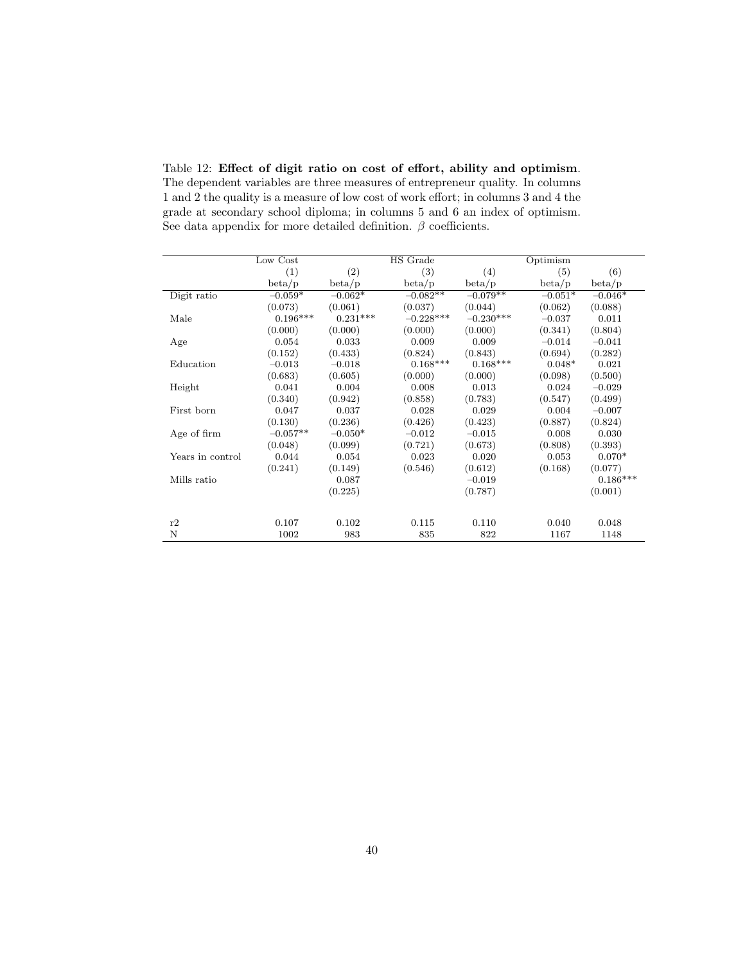Table 12: Effect of digit ratio on cost of effort, ability and optimism. The dependent variables are three measures of entrepreneur quality. In columns 1 and 2 the quality is a measure of low cost of work effort; in columns 3 and 4 the grade at secondary school diploma; in columns 5 and 6 an index of optimism. See data appendix for more detailed definition.  $\beta$  coefficients.

|                  | Low Cost   |            | HS Grade    |             | Optimism  |            |
|------------------|------------|------------|-------------|-------------|-----------|------------|
|                  | (1)        | (2)        | (3)         | (4)         | (5)       | (6)        |
|                  | beta/p     | beta/p     | beta/p      | beta/p      | beta/p    | beta/p     |
| Digit ratio      | $-0.059*$  | $-0.062*$  | $-0.082**$  | $-0.079**$  | $-0.051*$ | $-0.046*$  |
|                  | (0.073)    | (0.061)    | (0.037)     | (0.044)     | (0.062)   | (0.088)    |
| Male             | $0.196***$ | $0.231***$ | $-0.228***$ | $-0.230***$ | $-0.037$  | 0.011      |
|                  | (0.000)    | (0.000)    | (0.000)     | (0.000)     | (0.341)   | (0.804)    |
| Age              | 0.054      | 0.033      | 0.009       | 0.009       | $-0.014$  | $-0.041$   |
|                  | (0.152)    | (0.433)    | (0.824)     | (0.843)     | (0.694)   | (0.282)    |
| Education        | $-0.013$   | $-0.018$   | $0.168***$  | $0.168***$  | $0.048*$  | 0.021      |
|                  | (0.683)    | (0.605)    | (0.000)     | (0.000)     | (0.098)   | (0.500)    |
| Height           | 0.041      | 0.004      | 0.008       | 0.013       | 0.024     | $-0.029$   |
|                  | (0.340)    | (0.942)    | (0.858)     | (0.783)     | (0.547)   | (0.499)    |
| First born       | 0.047      | 0.037      | 0.028       | 0.029       | 0.004     | $-0.007$   |
|                  | (0.130)    | (0.236)    | (0.426)     | (0.423)     | (0.887)   | (0.824)    |
| Age of firm      | $-0.057**$ | $-0.050*$  | $-0.012$    | $-0.015$    | 0.008     | 0.030      |
|                  | (0.048)    | (0.099)    | (0.721)     | (0.673)     | (0.808)   | (0.393)    |
| Years in control | 0.044      | 0.054      | 0.023       | 0.020       | 0.053     | $0.070*$   |
|                  | (0.241)    | (0.149)    | (0.546)     | (0.612)     | (0.168)   | (0.077)    |
| Mills ratio      |            | 0.087      |             | $-0.019$    |           | $0.186***$ |
|                  |            | (0.225)    |             | (0.787)     |           | (0.001)    |
|                  |            |            |             |             |           |            |
| r2               | 0.107      | 0.102      | 0.115       | 0.110       | 0.040     | 0.048      |
| N                | 1002       | 983        | 835         | 822         | 1167      | 1148       |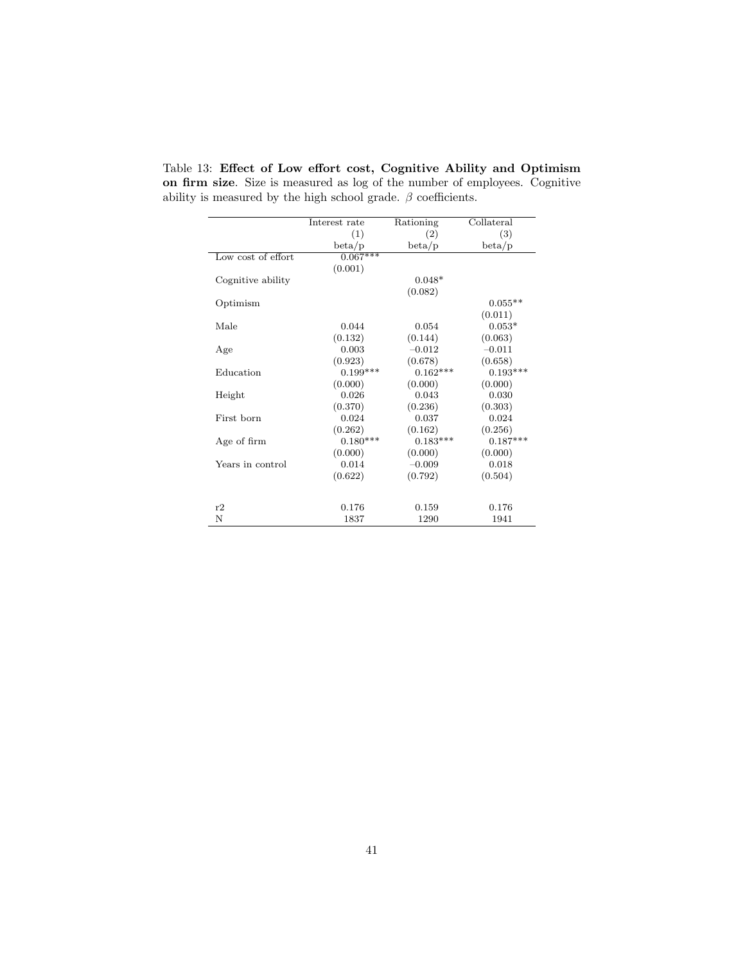|                    | Interest rate | Rationing  | Collateral |
|--------------------|---------------|------------|------------|
|                    | (1)           | (2)        | (3)        |
|                    | beta/p        | beta/p     | beta/p     |
| Low cost of effort | $0.067***$    |            |            |
|                    | (0.001)       |            |            |
| Cognitive ability  |               | $0.048*$   |            |
|                    |               | (0.082)    |            |
| Optimism           |               |            | $0.055**$  |
|                    |               |            | (0.011)    |
| Male               | 0.044         | 0.054      | $0.053*$   |
|                    | (0.132)       | (0.144)    | (0.063)    |
| Age                | 0.003         | $-0.012$   | $-0.011$   |
|                    | (0.923)       | (0.678)    | (0.658)    |
| Education          | $0.199***$    | $0.162***$ | $0.193***$ |
|                    | (0.000)       | (0.000)    | (0.000)    |
| Height             | 0.026         | 0.043      | 0.030      |
|                    | (0.370)       | (0.236)    | (0.303)    |
| First born         | 0.024         | 0.037      | 0.024      |
|                    | (0.262)       | (0.162)    | (0.256)    |
| Age of firm        | $0.180***$    | $0.183***$ | $0.187***$ |
|                    | (0.000)       | (0.000)    | (0.000)    |
| Years in control   | 0.014         | $-0.009$   | 0.018      |
|                    | (0.622)       | (0.792)    | (0.504)    |
|                    |               |            |            |
| r2                 | 0.176         | 0.159      | 0.176      |
| N                  | 1837          | 1290       | 1941       |

Table 13: Effect of Low effort cost, Cognitive Ability and Optimism on firm size. Size is measured as log of the number of employees. Cognitive ability is measured by the high school grade.  $\beta$  coefficients.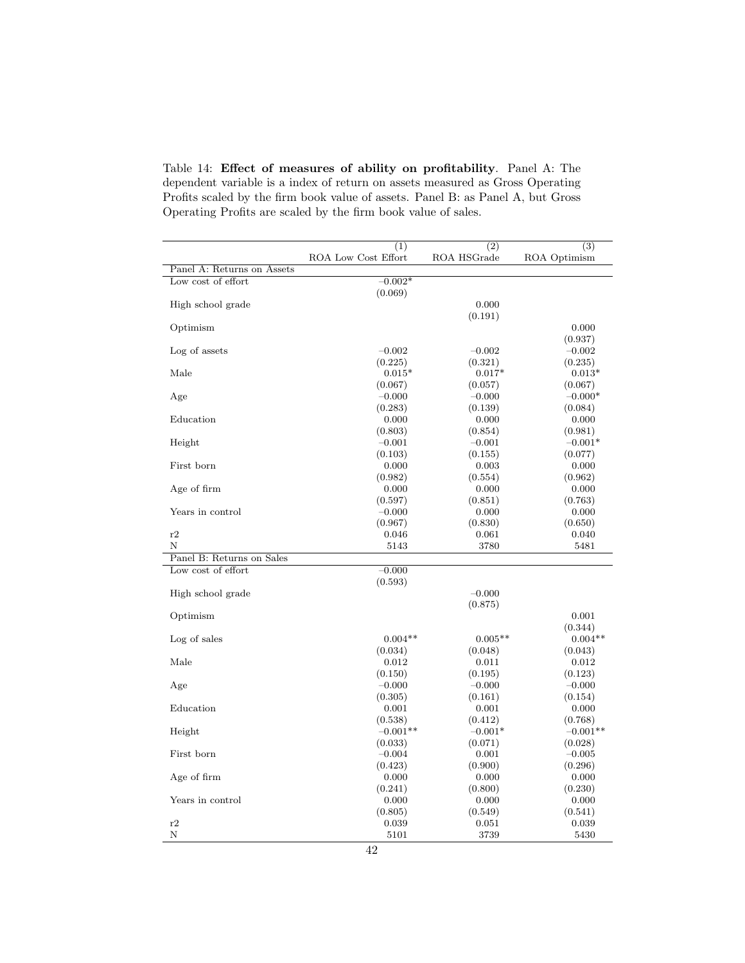Table 14: Effect of measures of ability on profitability. Panel A: The dependent variable is a index of return on assets measured as Gross Operating Profits scaled by the firm book value of assets. Panel B: as Panel A, but Gross Operating Profits are scaled by the firm book value of sales.

|                            | (1)                 | (2)         | (3)          |
|----------------------------|---------------------|-------------|--------------|
|                            | ROA Low Cost Effort | ROA HSGrade | ROA Optimism |
| Panel A: Returns on Assets |                     |             |              |
| Low cost of effort         | $-0.002*$           |             |              |
|                            | (0.069)             |             |              |
| High school grade          |                     | 0.000       |              |
|                            |                     | (0.191)     |              |
| Optimism                   |                     |             | 0.000        |
|                            |                     |             | (0.937)      |
| Log of assets              | $-0.002$            | $-0.002$    | $-0.002$     |
|                            | (0.225)             | (0.321)     | (0.235)      |
| Male                       | $0.015*$            | $0.017*$    | $0.013*$     |
|                            | (0.067)             | (0.057)     | (0.067)      |
| Age                        | $-0.000$            | $-0.000$    | $-0.000*$    |
|                            | (0.283)             | (0.139)     | (0.084)      |
| Education                  | 0.000               | 0.000       | 0.000        |
|                            | (0.803)             | (0.854)     | (0.981)      |
| Height                     | $-0.001$            | $-0.001$    | $-0.001*$    |
|                            | (0.103)             | (0.155)     | (0.077)      |
| First born                 | 0.000               | 0.003       | 0.000        |
|                            | (0.982)             | (0.554)     | (0.962)      |
| Age of firm                | 0.000               | 0.000       | 0.000        |
|                            | (0.597)             | (0.851)     | (0.763)      |
| Years in control           | $-0.000$            | 0.000       | 0.000        |
|                            | (0.967)             | (0.830)     | (0.650)      |
| r2                         | 0.046               | 0.061       | 0.040        |
| Ν                          | 5143                | 3780        | 5481         |
| Panel B: Returns on Sales  |                     |             |              |
| Low cost of effort         | $-0.000$            |             |              |
|                            | (0.593)             |             |              |
| High school grade          |                     | $-0.000$    |              |
|                            |                     | (0.875)     |              |
| Optimism                   |                     |             | 0.001        |
|                            |                     |             | (0.344)      |
| Log of sales               | $0.004**$           | $0.005**$   | $0.004**$    |
|                            | (0.034)             | (0.048)     | (0.043)      |
| Male                       | 0.012               | 0.011       | 0.012        |
|                            | (0.150)             | (0.195)     | (0.123)      |
| Age                        | $-0.000$            | $-0.000$    | $-0.000$     |
|                            | (0.305)             | (0.161)     | (0.154)      |
| Education                  | 0.001               | 0.001       | 0.000        |
|                            | (0.538)             | (0.412)     | (0.768)      |
| Height                     | $-0.001**$          | $-0.001*$   | $-0.001**$   |
|                            | (0.033)             | (0.071)     | (0.028)      |
| First born                 | $-0.004$            | 0.001       | $-0.005$     |
|                            | (0.423)             | (0.900)     | (0.296)      |
| Age of firm                | 0.000               | 0.000       | 0.000        |
|                            | (0.241)             | (0.800)     | (0.230)      |
| Years in control           | 0.000               | 0.000       | 0.000        |
|                            | (0.805)             | (0.549)     | (0.541)      |
| r2                         | 0.039               | 0.051       | 0.039        |
| Ν                          | 5101                | 3739        | 5430         |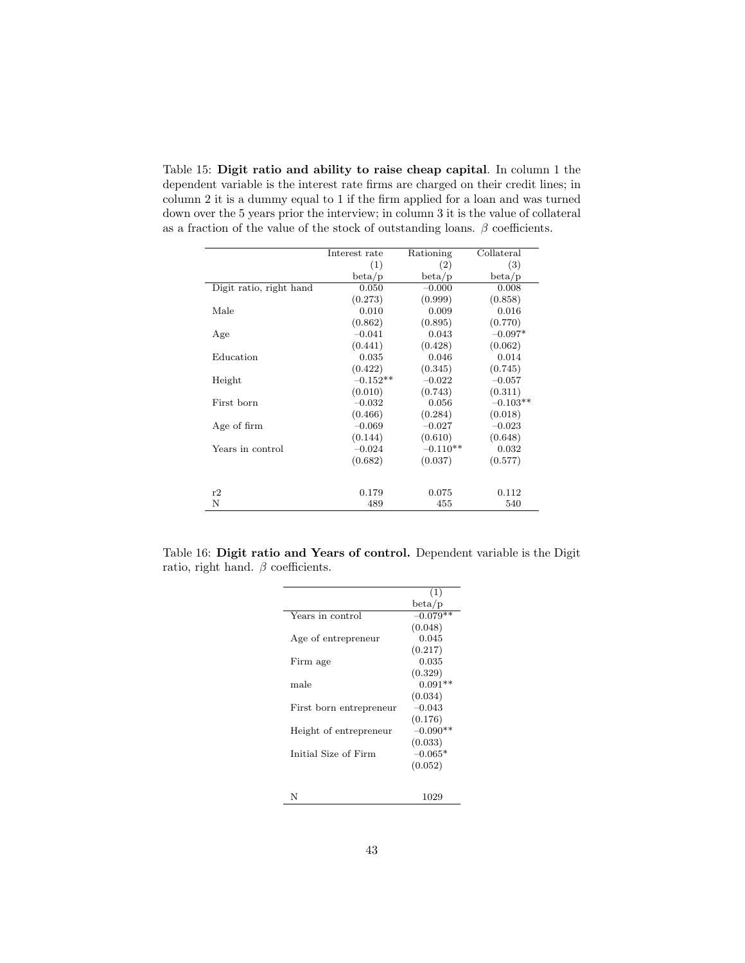Table 15: Digit ratio and ability to raise cheap capital. In column 1 the dependent variable is the interest rate firms are charged on their credit lines; in column 2 it is a dummy equal to 1 if the firm applied for a loan and was turned down over the 5 years prior the interview; in column 3 it is the value of collateral as a fraction of the value of the stock of outstanding loans.  $\beta$  coefficients.

|                         | Interest rate | Rationing  | Collateral |
|-------------------------|---------------|------------|------------|
|                         | (1)           | (2)        | (3)        |
|                         | beta/p        | beta/p     | beta/p     |
| Digit ratio, right hand | 0.050         | $-0.000$   | 0.008      |
|                         | (0.273)       | (0.999)    | (0.858)    |
| Male                    | 0.010         | 0.009      | 0.016      |
|                         | (0.862)       | (0.895)    | (0.770)    |
| Age                     | $-0.041$      | 0.043      | $-0.097*$  |
|                         | (0.441)       | (0.428)    | (0.062)    |
| Education               | 0.035         | 0.046      | 0.014      |
|                         | (0.422)       | (0.345)    | (0.745)    |
| Height                  | $-0.152**$    | $-0.022$   | $-0.057$   |
|                         | (0.010)       | (0.743)    | (0.311)    |
| First born              | $-0.032$      | 0.056      | $-0.103**$ |
|                         | (0.466)       | (0.284)    | (0.018)    |
| Age of firm             | $-0.069$      | $-0.027$   | $-0.023$   |
|                         | (0.144)       | (0.610)    | (0.648)    |
| Years in control        | $-0.024$      | $-0.110**$ | 0.032      |
|                         | (0.682)       | (0.037)    | (0.577)    |
|                         |               |            |            |
| r2                      | 0.179         | 0.075      | 0.112      |
| Ν                       | 489           | 455        | 540        |

Table 16: Digit ratio and Years of control. Dependent variable is the Digit ratio, right hand.  $\beta$  coefficients.

|                         | (1)                    |
|-------------------------|------------------------|
|                         | beta/p                 |
| Years in control        | $-0.079$ <sup>**</sup> |
|                         | (0.048)                |
| Age of entrepreneur     | 0.045                  |
|                         | (0.217)                |
| Firm age                | 0.035                  |
|                         | (0.329)                |
| male                    | $0.091**$              |
|                         | (0.034)                |
| First born entrepreneur | $-0.043$               |
|                         | (0.176)                |
| Height of entrepreneur  | $-0.090**$             |
|                         | (0.033)                |
| Initial Size of Firm    | $-0.065*$              |
|                         | (0.052)                |
|                         |                        |
|                         | 1029                   |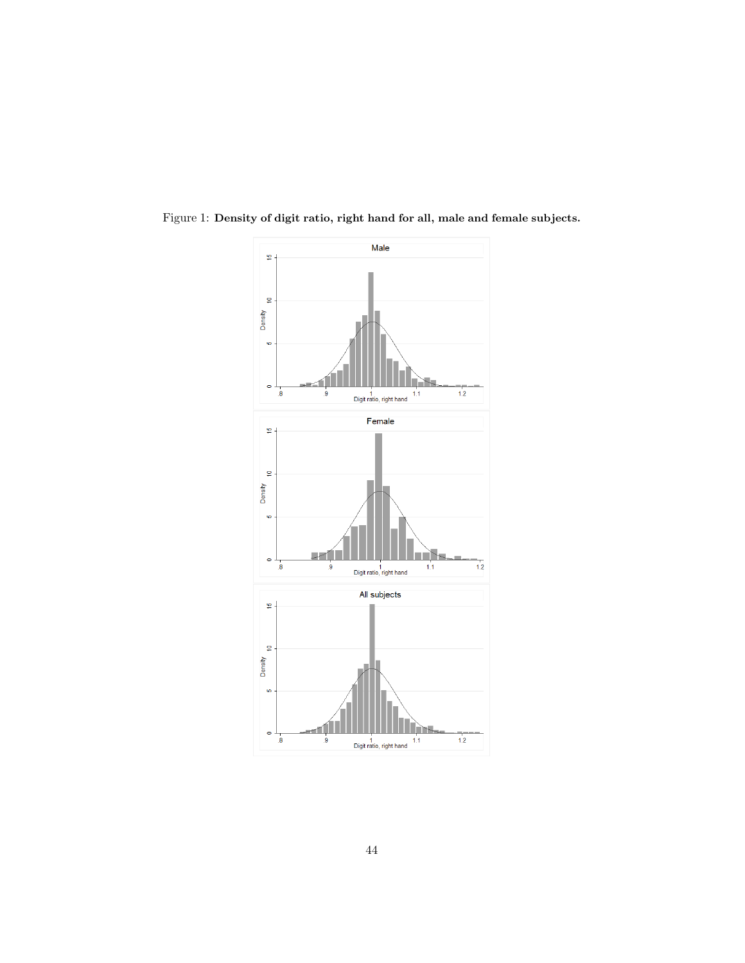

Figure 1: Density of digit ratio, right hand for all, male and female subjects.